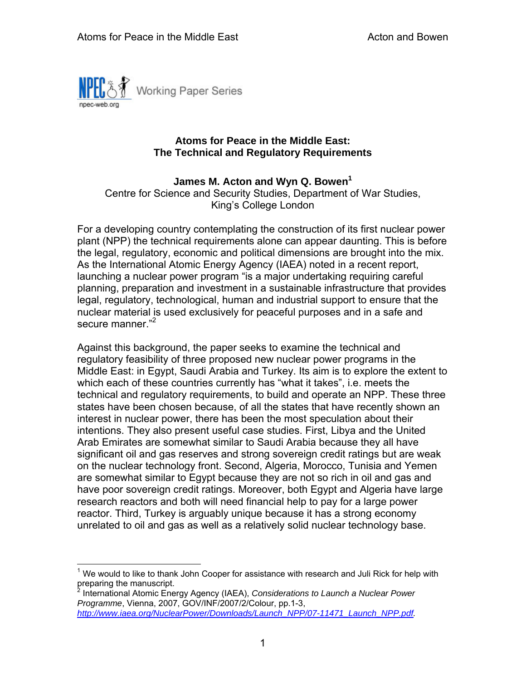

## **Atoms for Peace in the Middle East: The Technical and Regulatory Requirements**

## **James M. Acton and Wyn Q. Bowen<sup>1</sup>**

Centre for Science and Security Studies, Department of War Studies, King's College London

For a developing country contemplating the construction of its first nuclear power plant (NPP) the technical requirements alone can appear daunting. This is before the legal, regulatory, economic and political dimensions are brought into the mix. As the International Atomic Energy Agency (IAEA) noted in a recent report, launching a nuclear power program "is a major undertaking requiring careful planning, preparation and investment in a sustainable infrastructure that provides legal, regulatory, technological, human and industrial support to ensure that the nuclear material is used exclusively for peaceful purposes and in a safe and secure manner."<sup>2</sup>

Against this background, the paper seeks to examine the technical and regulatory feasibility of three proposed new nuclear power programs in the Middle East: in Egypt, Saudi Arabia and Turkey. Its aim is to explore the extent to which each of these countries currently has "what it takes", i.e. meets the technical and regulatory requirements, to build and operate an NPP. These three states have been chosen because, of all the states that have recently shown an interest in nuclear power, there has been the most speculation about their intentions. They also present useful case studies. First, Libya and the United Arab Emirates are somewhat similar to Saudi Arabia because they all have significant oil and gas reserves and strong sovereign credit ratings but are weak on the nuclear technology front. Second, Algeria, Morocco, Tunisia and Yemen are somewhat similar to Egypt because they are not so rich in oil and gas and have poor sovereign credit ratings. Moreover, both Egypt and Algeria have large research reactors and both will need financial help to pay for a large power reactor. Third, Turkey is arguably unique because it has a strong economy unrelated to oil and gas as well as a relatively solid nuclear technology base.

 $\overline{a}$ 

 $1$  We would to like to thank John Cooper for assistance with research and Juli Rick for help with preparing the manuscript. 2 International Atomic Energy Agency (IAEA), *Considerations to Launch a Nuclear Power* 

*Programme*, Vienna, 2007, GOV/INF/2007/2/Colour, pp.1-3, *http://www.iaea.org/NuclearPower/Downloads/Launch\_NPP/07-11471\_Launch\_NPP.pdf.*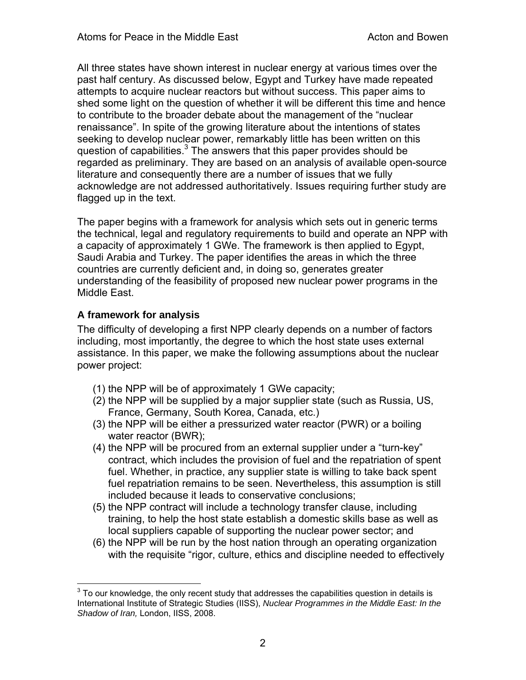All three states have shown interest in nuclear energy at various times over the past half century. As discussed below, Egypt and Turkey have made repeated attempts to acquire nuclear reactors but without success. This paper aims to shed some light on the question of whether it will be different this time and hence to contribute to the broader debate about the management of the "nuclear renaissance". In spite of the growing literature about the intentions of states seeking to develop nuclear power, remarkably little has been written on this question of capabilities. $3$  The answers that this paper provides should be regarded as preliminary. They are based on an analysis of available open-source literature and consequently there are a number of issues that we fully acknowledge are not addressed authoritatively. Issues requiring further study are flagged up in the text.

The paper begins with a framework for analysis which sets out in generic terms the technical, legal and regulatory requirements to build and operate an NPP with a capacity of approximately 1 GWe. The framework is then applied to Egypt, Saudi Arabia and Turkey. The paper identifies the areas in which the three countries are currently deficient and, in doing so, generates greater understanding of the feasibility of proposed new nuclear power programs in the Middle East.

## **A framework for analysis**

The difficulty of developing a first NPP clearly depends on a number of factors including, most importantly, the degree to which the host state uses external assistance. In this paper, we make the following assumptions about the nuclear power project:

- (1) the NPP will be of approximately 1 GWe capacity;
- (2) the NPP will be supplied by a major supplier state (such as Russia, US, France, Germany, South Korea, Canada, etc.)
- (3) the NPP will be either a pressurized water reactor (PWR) or a boiling water reactor (BWR);
- (4) the NPP will be procured from an external supplier under a "turn-key" contract, which includes the provision of fuel and the repatriation of spent fuel. Whether, in practice, any supplier state is willing to take back spent fuel repatriation remains to be seen. Nevertheless, this assumption is still included because it leads to conservative conclusions;
- (5) the NPP contract will include a technology transfer clause, including training, to help the host state establish a domestic skills base as well as local suppliers capable of supporting the nuclear power sector; and
- (6) the NPP will be run by the host nation through an operating organization with the requisite "rigor, culture, ethics and discipline needed to effectively

 $\overline{a}$  $3$  To our knowledge, the only recent study that addresses the capabilities question in details is International Institute of Strategic Studies (IISS), *Nuclear Programmes in the Middle East: In the Shadow of Iran,* London, IISS, 2008.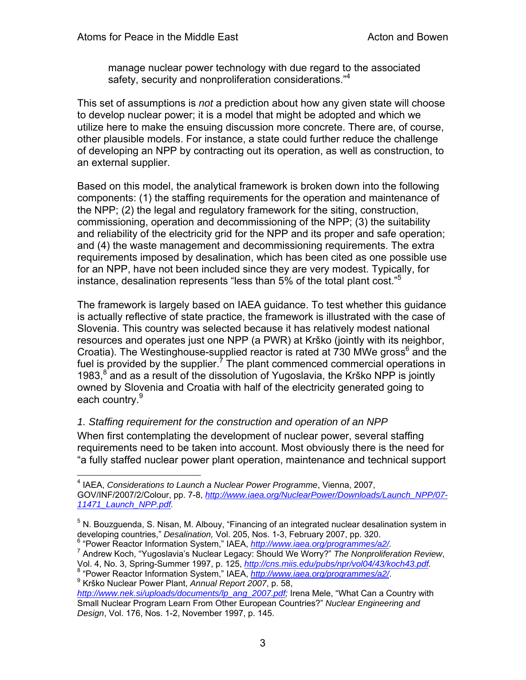manage nuclear power technology with due regard to the associated safety, security and nonproliferation considerations."<sup>4</sup>

This set of assumptions is *not* a prediction about how any given state will choose to develop nuclear power; it is a model that might be adopted and which we utilize here to make the ensuing discussion more concrete. There are, of course, other plausible models. For instance, a state could further reduce the challenge of developing an NPP by contracting out its operation, as well as construction, to an external supplier.

Based on this model, the analytical framework is broken down into the following components: (1) the staffing requirements for the operation and maintenance of the NPP; (2) the legal and regulatory framework for the siting, construction, commissioning, operation and decommissioning of the NPP; (3) the suitability and reliability of the electricity grid for the NPP and its proper and safe operation; and (4) the waste management and decommissioning requirements. The extra requirements imposed by desalination, which has been cited as one possible use for an NPP, have not been included since they are very modest. Typically, for instance, desalination represents "less than 5% of the total plant cost."<sup>5</sup>

The framework is largely based on IAEA guidance. To test whether this guidance is actually reflective of state practice, the framework is illustrated with the case of Slovenia. This country was selected because it has relatively modest national resources and operates just one NPP (a PWR) at Krško (jointly with its neighbor, Croatia). The Westinghouse-supplied reactor is rated at  $\overline{7}30$  MWe gross<sup>6</sup> and the fuel is provided by the supplier.<sup> $7$ </sup> The plant commenced commercial operations in 1983,<sup>8</sup> and as a result of the dissolution of Yugoslavia, the Krško NPP is jointly owned by Slovenia and Croatia with half of the electricity generated going to each country.<sup>9</sup>

# *1. Staffing requirement for the construction and operation of an NPP*

When first contemplating the development of nuclear power, several staffing requirements need to be taken into account. Most obviously there is the need for "a fully staffed nuclear power plant operation, maintenance and technical support

 Andrew Koch, "Yugoslavia's Nuclear Legacy: Should We Worry?" *The Nonproliferation Review*, Vol. 4, No. 3, Spring-Summer 1997, p. 125, *http://cns.miis.edu/pubs/npr/vol04/43/koch43.pdf.* <sup>8</sup>

<sup>8</sup> "Power Reactor Information System," IAEA, http://www.iaea.org/programmes/a2/. Krško Nuclear Power Plant, *Annual Report 2007*, p. 58,

 4 IAEA, *Considerations to Launch a Nuclear Power Programme*, Vienna, 2007, GOV/INF/2007/2/Colour, pp. 7-8, *http://www.iaea.org/NuclearPower/Downloads/Launch\_NPP/07- 11471\_Launch\_NPP.pdf.* 

<sup>&</sup>lt;sup>5</sup> N. Bouzguenda, S. Nisan, M. Albouy, "Financing of an integrated nuclear desalination system in developing countries," *Desalination,* Vol. 205, Nos. 1-3, February 2007, pp. 320. 6

<sup>&</sup>lt;sup>6</sup> "Power Reactor Information System," IAEA, http://www.iaea.org/programmes/a2/.

*http://www.nek.si/uploads/documents/lp\_ang\_2007.pdf;* Irena Mele, "What Can a Country with Small Nuclear Program Learn From Other European Countries?" *Nuclear Engineering and Design*, Vol. 176, Nos. 1-2, November 1997, p. 145.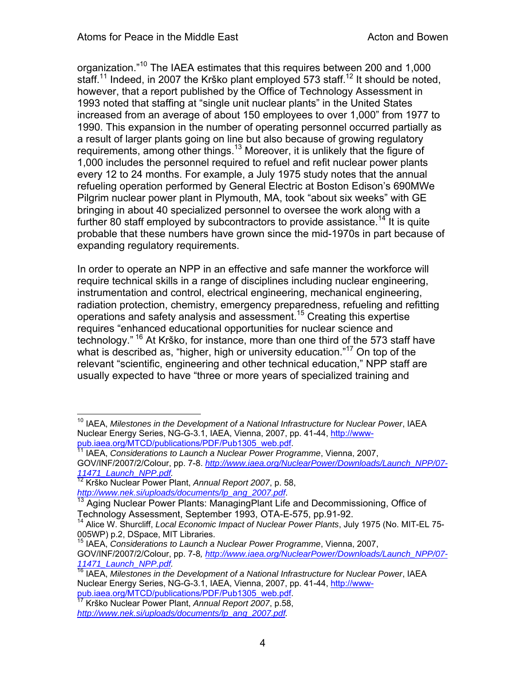organization."10 The IAEA estimates that this requires between 200 and 1,000 staff.<sup>11</sup> Indeed, in 2007 the Krško plant employed 573 staff.<sup>12</sup> It should be noted, however, that a report published by the Office of Technology Assessment in 1993 noted that staffing at "single unit nuclear plants" in the United States increased from an average of about 150 employees to over 1,000" from 1977 to 1990. This expansion in the number of operating personnel occurred partially as a result of larger plants going on line but also because of growing regulatory requirements, among other things.<sup>13</sup> Moreover, it is unlikely that the figure of 1,000 includes the personnel required to refuel and refit nuclear power plants every 12 to 24 months. For example, a July 1975 study notes that the annual refueling operation performed by General Electric at Boston Edison's 690MWe Pilgrim nuclear power plant in Plymouth, MA, took "about six weeks" with GE bringing in about 40 specialized personnel to oversee the work along with a further 80 staff employed by subcontractors to provide assistance.<sup>14</sup> It is quite probable that these numbers have grown since the mid-1970s in part because of expanding regulatory requirements.

In order to operate an NPP in an effective and safe manner the workforce will require technical skills in a range of disciplines including nuclear engineering, instrumentation and control, electrical engineering, mechanical engineering, radiation protection, chemistry, emergency preparedness, refueling and refitting operations and safety analysis and assessment.15 Creating this expertise requires "enhanced educational opportunities for nuclear science and technology." <sup>16</sup> At Krško, for instance, more than one third of the 573 staff have what is described as, "higher, high or university education."<sup>17</sup> On top of the relevant "scientific, engineering and other technical education," NPP staff are usually expected to have "three or more years of specialized training and

 $\overline{a}$ 

<sup>10</sup> IAEA, *Milestones in the Development of a National Infrastructure for Nuclear Power*, IAEA Nuclear Energy Series, NG-G-3.1, IAEA, Vienna, 2007, pp. 41-44, http://wwwpub.iaea.org/MTCD/publications/PDF/Pub1305\_web.pdf. 11 IAEA, *Considerations to Launch a Nuclear Power Programme*, Vienna, 2007,

GOV/INF/2007/2/Colour, pp. 7-8. *http://www.iaea.org/NuclearPower/Downloads/Launch\_NPP/07-*

<sup>&</sup>lt;sup>12</sup> Krško Nuclear Power Plant, *Annual Report 2007*, p. 58,<br>http://www.nek.si/uploads/documents/lp\_ang\_2007.pdf.

<sup>&</sup>lt;sup>13</sup> Aging Nuclear Power Plants: ManagingPlant Life and Decommissioning, Office of Technology Assessment, September 1993, OTA-E-575, pp.91-92.

<sup>14</sup> Alice W. Shurcliff, *Local Economic Impact of Nuclear Power Plants*, July 1975 (No. MIT-EL 75- 005WP) p.2, DSpace, MIT Libraries.

<sup>15</sup> IAEA, *Considerations to Launch a Nuclear Power Programme*, Vienna, 2007, GOV/INF/2007/2/Colour, pp. 7-8*, http://www.iaea.org/NuclearPower/Downloads/Launch\_NPP/07-*

*<sup>11471</sup>\_Launch\_NPP.pdf.* 16 IAEA, *Milestones in the Development of a National Infrastructure for Nuclear Power*, IAEA Nuclear Energy Series, NG-G-3.1, IAEA, Vienna, 2007, pp. 41-44, http://wwwpub.iaea.org/MTCD/publications/PDF/Pub1305\_web.pdf. 17 Krško Nuclear Power Plant, *Annual Report 2007*, p.58,

*http://www.nek.si/uploads/documents/lp\_ang\_2007.pdf.*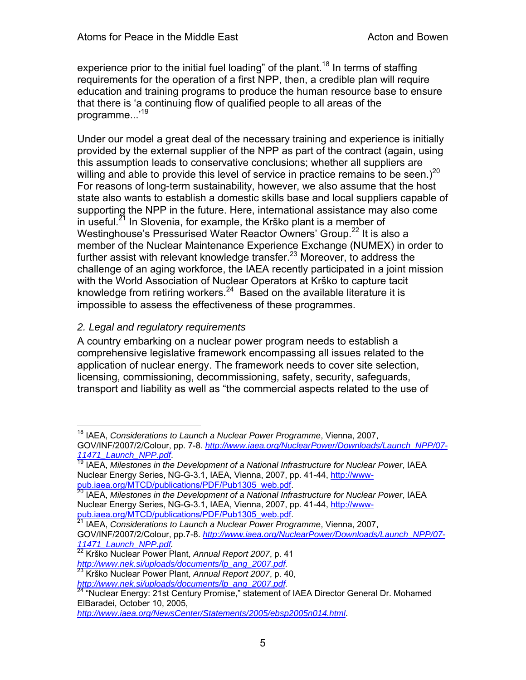experience prior to the initial fuel loading" of the plant.<sup>18</sup> In terms of staffing requirements for the operation of a first NPP, then, a credible plan will require education and training programs to produce the human resource base to ensure that there is 'a continuing flow of qualified people to all areas of the programme...'19

Under our model a great deal of the necessary training and experience is initially provided by the external supplier of the NPP as part of the contract (again, using this assumption leads to conservative conclusions; whether all suppliers are willing and able to provide this level of service in practice remains to be seen.)<sup>20</sup> For reasons of long-term sustainability, however, we also assume that the host state also wants to establish a domestic skills base and local suppliers capable of supporting the NPP in the future. Here, international assistance may also come in useful.<sup>21</sup> In Slovenia, for example, the Krško plant is a member of Westinghouse's Pressurised Water Reactor Owners' Group.<sup>22</sup> It is also a member of the Nuclear Maintenance Experience Exchange (NUMEX) in order to further assist with relevant knowledge transfer.<sup>23</sup> Moreover, to address the challenge of an aging workforce, the IAEA recently participated in a joint mission with the World Association of Nuclear Operators at Krško to capture tacit knowledge from retiring workers. $24$  Based on the available literature it is impossible to assess the effectiveness of these programmes.

## *2. Legal and regulatory requirements*

A country embarking on a nuclear power program needs to establish a comprehensive legislative framework encompassing all issues related to the application of nuclear energy. The framework needs to cover site selection, licensing, commissioning, decommissioning, safety, security, safeguards, transport and liability as well as "the commercial aspects related to the use of

 $\overline{a}$ 18 IAEA, *Considerations to Launch a Nuclear Power Programme*, Vienna, 2007, GOV/INF/2007/2/Colour, pp. 7-8. *http://www.iaea.org/NuclearPower/Downloads/Launch\_NPP/07- 11471\_Launch\_NPP.pdf*. 19 IAEA, *Milestones in the Development of a National Infrastructure for Nuclear Power*, IAEA

Nuclear Energy Series, NG-G-3.1, IAEA, Vienna, 2007, pp. 41-44, http://wwwpub.iaea.org/MTCD/publications/PDF/Pub1305\_web.pdf. <sup>2007</sup><br><sup>20</sup> IAEA, *Milestones in the Development of a National Infrastructure for Nuclear Power*, IAEA

Nuclear Energy Series, NG-G-3.1, IAEA, Vienna, 2007, pp. 41-44, http://wwwpub.iaea.org/MTCD/publications/PDF/Pub1305\_web.pdf. 21 IAEA, *Considerations to Launch a Nuclear Power Programme*, Vienna, 2007,

GOV/INF/2007/2/Colour, pp.7-8. *http://www.iaea.org/NuclearPower/Downloads/Launch\_NPP/07-*

*<sup>11471</sup>\_Launch\_NPP.pdf.* 22 Krško Nuclear Power Plant, *Annual Report 2007*, p. 41<br><sup>22</sup> Krško Nuclear Power Plant, *Annual Report 2007*, p. 41<br>*http://www.nek.si/uploads/documents/lp\_ang\_2007.pdf.* 

*http://www.nek.si/uploads/documents/lp\_ang\_2007.pdf.* 23 Krško Nuclear Power Plant, *Annual Report 2007*, p. 40,

*http://www.nek.si/uploads/documents/lp\_ang\_2007.pdf.* 24 "Nuclear Energy: 21st Century Promise," statement of IAEA Director General Dr. Mohamed ElBaradei, October 10, 2005,

*http://www.iaea.org/NewsCenter/Statements/2005/ebsp2005n014.html*.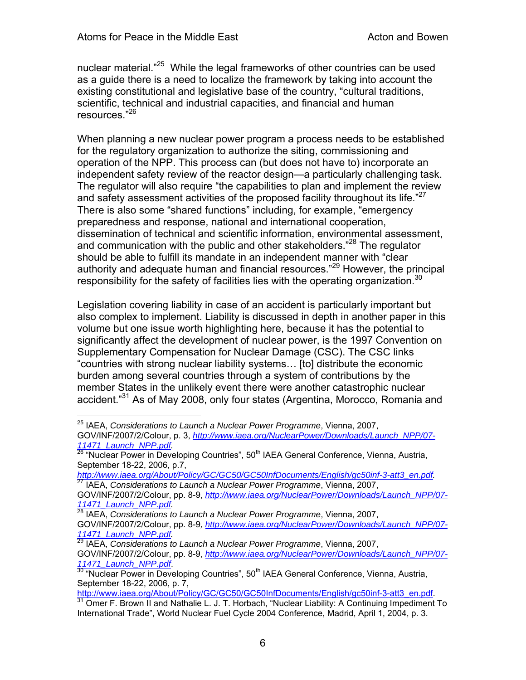nuclear material."25 While the legal frameworks of other countries can be used as a guide there is a need to localize the framework by taking into account the existing constitutional and legislative base of the country, "cultural traditions, scientific, technical and industrial capacities, and financial and human resources<sup>"26</sup>

When planning a new nuclear power program a process needs to be established for the regulatory organization to authorize the siting, commissioning and operation of the NPP. This process can (but does not have to) incorporate an independent safety review of the reactor design—a particularly challenging task. The regulator will also require "the capabilities to plan and implement the review and safety assessment activities of the proposed facility throughout its life. $127$ There is also some "shared functions" including, for example, "emergency preparedness and response, national and international cooperation, dissemination of technical and scientific information, environmental assessment, and communication with the public and other stakeholders.<sup>"28</sup> The regulator should be able to fulfill its mandate in an independent manner with "clear authority and adequate human and financial resources."<sup>29</sup> However, the principal responsibility for the safety of facilities lies with the operating organization.<sup>30</sup>

Legislation covering liability in case of an accident is particularly important but also complex to implement. Liability is discussed in depth in another paper in this volume but one issue worth highlighting here, because it has the potential to significantly affect the development of nuclear power, is the 1997 Convention on Supplementary Compensation for Nuclear Damage (CSC). The CSC links "countries with strong nuclear liability systems… [to] distribute the economic burden among several countries through a system of contributions by the member States in the unlikely event there were another catastrophic nuclear accident."<sup>31</sup> As of May 2008, only four states (Argentina, Morocco, Romania and

<sup>1</sup> 25 IAEA, *Considerations to Launch a Nuclear Power Programme*, Vienna, 2007, GOV/INF/2007/2/Colour, p. 3, *http://www.iaea.org/NuclearPower/Downloads/Launch\_NPP/07-*

*<sup>11471</sup>\_Launch\_NPP.pdf.* 26 "Nuclear Power in Developing Countries", 50th IAEA General Conference, Vienna, Austria, September 18-22, 2006, p.7,<br>http://www.jaea.org/About/Policy/GC/GC50/GC50InfDocuments/English/gc50inf-3-att3\_en.pdf.

*http://www.iaea.org/About/Policy/GC/GC50/GC50InfDocuments/English/gc50inf-3-att3\_en.pdf.* 27 IAEA, *Considerations to Launch a Nuclear Power Programme*, Vienna, 2007,

GOV/INF/2007/2/Colour, pp. 8-9, *http://www.iaea.org/NuclearPower/Downloads/Launch\_NPP/07-*

*<sup>11471</sup>\_Launch\_NPP.pdf.* 28 IAEA, *Considerations to Launch a Nuclear Power Programme*, Vienna, 2007,

GOV/INF/2007/2/Colour, pp. 8-9*, http://www.iaea.org/NuclearPower/Downloads/Launch\_NPP/07-*

<sup>&</sup>lt;sup>29</sup> IAEA, *Considerations to Launch a Nuclear Power Programme*, Vienna, 2007,

GOV/INF/2007/2/Colour, pp. 8-9, *http://www.iaea.org/NuclearPower/Downloads/Launch\_NPP/07- 11471\_Launch\_NPP.pdf*. 30 "Nuclear Power in Developing Countries", 50th IAEA General Conference, Vienna, Austria,

September 18-22, 2006, p. 7,<br>http://www.iaea.org/About/Policy/GC/GC50/GC50InfDocuments/English/gc50inf-3-att3\_en.pdf.

http://www.iaea.org/About/GC-Containt-Containt-31 Omer F. Brown II and Nathalie L. J. T. Horbach, "Nuclear Liability: A Continuing Impediment To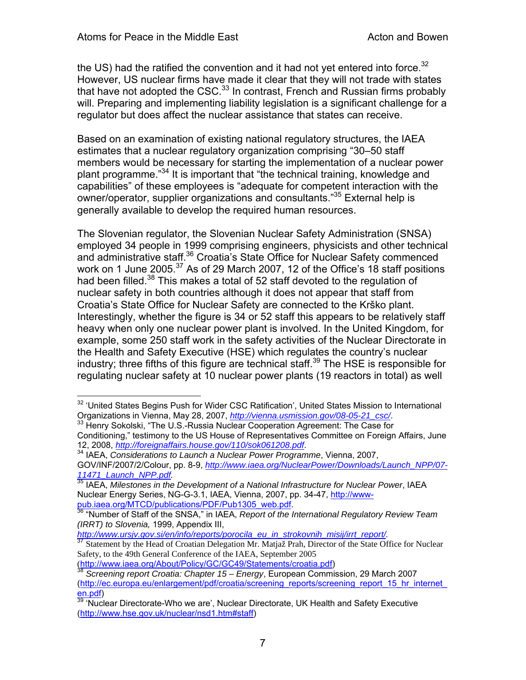the US) had the ratified the convention and it had not yet entered into force. $32$ However, US nuclear firms have made it clear that they will not trade with states that have not adopted the CSC. $^{33}$  In contrast, French and Russian firms probably will. Preparing and implementing liability legislation is a significant challenge for a regulator but does affect the nuclear assistance that states can receive.

Based on an examination of existing national regulatory structures, the IAEA estimates that a nuclear regulatory organization comprising "30–50 staff members would be necessary for starting the implementation of a nuclear power plant programme."34 It is important that "the technical training, knowledge and capabilities" of these employees is "adequate for competent interaction with the owner/operator, supplier organizations and consultants."<sup>35</sup> External help is generally available to develop the required human resources.

The Slovenian regulator, the Slovenian Nuclear Safety Administration (SNSA) employed 34 people in 1999 comprising engineers, physicists and other technical and administrative staff.<sup>36</sup> Croatia's State Office for Nuclear Safety commenced work on 1 June 2005.<sup>37</sup> As of 29 March 2007, 12 of the Office's 18 staff positions had been filled.<sup>38</sup> This makes a total of 52 staff devoted to the regulation of nuclear safety in both countries although it does not appear that staff from Croatia's State Office for Nuclear Safety are connected to the Krško plant. Interestingly, whether the figure is 34 or 52 staff this appears to be relatively staff heavy when only one nuclear power plant is involved. In the United Kingdom, for example, some 250 staff work in the safety activities of the Nuclear Directorate in the Health and Safety Executive (HSE) which regulates the country's nuclear industry; three fifths of this figure are technical staff.<sup>39</sup> The HSE is responsible for regulating nuclear safety at 10 nuclear power plants (19 reactors in total) as well

 $\overline{a}$  $32$  'United States Begins Push for Wider CSC Ratification', United States Mission to International Organizations in Vienna, May 28, 2007, *http://vienna.usmission.gov/08-05-21\_csc/*. 33 Henry Sokolski, "The U.S.-Russia Nuclear Cooperation Agreement: The Case for

Conditioning," testimony to the US House of Representatives Committee on Foreign Affairs, June 12, 2008, *http://foreignaffairs.house.gov/110/sok061208.pdf*.

<sup>&</sup>lt;sup>34</sup> IAEA, *Considerations to Launch a Nuclear Power Programme*, Vienna, 2007,

GOV/INF/2007/2/Colour, pp. 8-9, *http://www.iaea.org/NuclearPower/Downloads/Launch\_NPP/07-*

*<sup>11471</sup>\_Launch\_NPP.pdf.* 35 IAEA, *Milestones in the Development of a National Infrastructure for Nuclear Power*, IAEA Nuclear Energy Series, NG-G-3.1, IAEA, Vienna, 2007, pp. 34-47, http://www-

pub.iaea.org/MTCD/publications/PDF/Pub1305\_web.pdf. 36 "Number of Staff of the SNSA," in IAEA, *Report of the International Regulatory Review Team (IRRT) to Slovenia,* 1999, Appendix III,

<sup>&</sup>lt;sup>37</sup> Statement by the Head of Croatian Delegation Mr. Matjaž Prah, Director of the State Office for Nuclear Safety, to the 49th General Conference of the IAEA, September 2005<br>(http://www.iaea.org/About/Policy/GC/GC49/Statements/croatia.pdf)

Screening report Croatia: Chapter 15 – Energy, European Commission, 29 March 2007 (http://ec.europa.eu/enlargement/pdf/croatia/screening\_reports/screening\_report\_15\_hr\_internet\_

en.pdf)<br><sup>39</sup> 'Nuclear Directorate-Who we are', Nuclear Directorate, UK Health and Safety Executive (http://www.hse.gov.uk/nuclear/nsd1.htm#staff)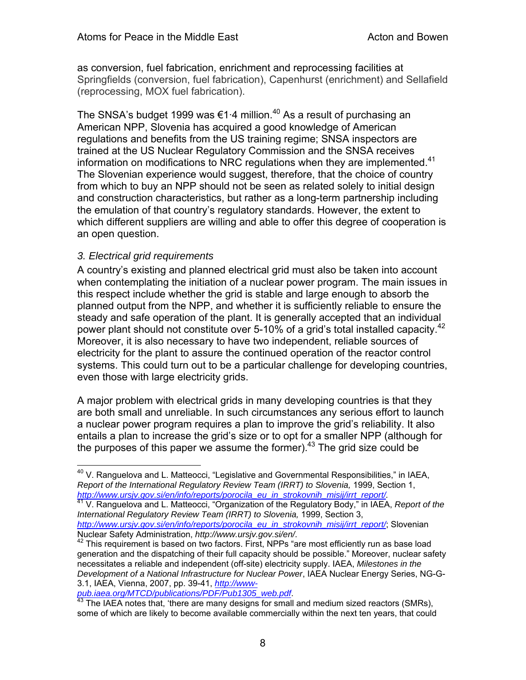as conversion, fuel fabrication, enrichment and reprocessing facilities at Springfields (conversion, fuel fabrication), Capenhurst (enrichment) and Sellafield (reprocessing, MOX fuel fabrication).

The SNSA's budget 1999 was €1.4 million.<sup>40</sup> As a result of purchasing an American NPP, Slovenia has acquired a good knowledge of American regulations and benefits from the US training regime; SNSA inspectors are trained at the US Nuclear Regulatory Commission and the SNSA receives information on modifications to NRC regulations when they are implemented.<sup>41</sup> The Slovenian experience would suggest, therefore, that the choice of country from which to buy an NPP should not be seen as related solely to initial design and construction characteristics, but rather as a long-term partnership including the emulation of that country's regulatory standards. However, the extent to which different suppliers are willing and able to offer this degree of cooperation is an open question.

#### *3. Electrical grid requirements*

A country's existing and planned electrical grid must also be taken into account when contemplating the initiation of a nuclear power program. The main issues in this respect include whether the grid is stable and large enough to absorb the planned output from the NPP, and whether it is sufficiently reliable to ensure the steady and safe operation of the plant. It is generally accepted that an individual power plant should not constitute over 5-10% of a grid's total installed capacity.<sup>42</sup> Moreover, it is also necessary to have two independent, reliable sources of electricity for the plant to assure the continued operation of the reactor control systems. This could turn out to be a particular challenge for developing countries, even those with large electricity grids.

A major problem with electrical grids in many developing countries is that they are both small and unreliable. In such circumstances any serious effort to launch a nuclear power program requires a plan to improve the grid's reliability. It also entails a plan to increase the grid's size or to opt for a smaller NPP (although for the purposes of this paper we assume the former).<sup>43</sup> The grid size could be

*International Regulatory Review Team (IRRT) to Slovenia,* 1999, Section 3, *http://www.ursjv.gov.si/en/info/reports/porocila\_eu\_in\_strokovnih\_misij/irrt\_report/*; Slovenian

<sup>42</sup> This requirement is based on two factors. First, NPPs "are most efficiently run as base load generation and the dispatching of their full capacity should be possible." Moreover, nuclear safety necessitates a reliable and independent (off-site) electricity supply. IAEA, *Milestones in the Development of a National Infrastructure for Nuclear Power*, IAEA Nuclear Energy Series, NG-G-3.1, IAEA, Vienna, 2007, pp. 39-41, *http://www-*

 $\overline{a}$  $^{40}$  V. Ranguelova and L. Matteocci, "Legislative and Governmental Responsibilities," in IAEA, *Report of the International Regulatory Review Team (IRRT) to Slovenia, 1999, Section 1, http://www.ursjv.gov.si/en/info/reports/porocila\_eu\_in\_strokovnih\_misij/irrt\_report/.* 41 V. Ranguelova and L. Matteocci, "Organization of the Regulatory Body," in IAEA, *Report of the* 

*pub.iaea.org/MTCD/publications/PDF/Pub1305\_web.pdf*. 43 The IAEA notes that, 'there are many designs for small and medium sized reactors (SMRs), some of which are likely to become available commercially within the next ten years, that could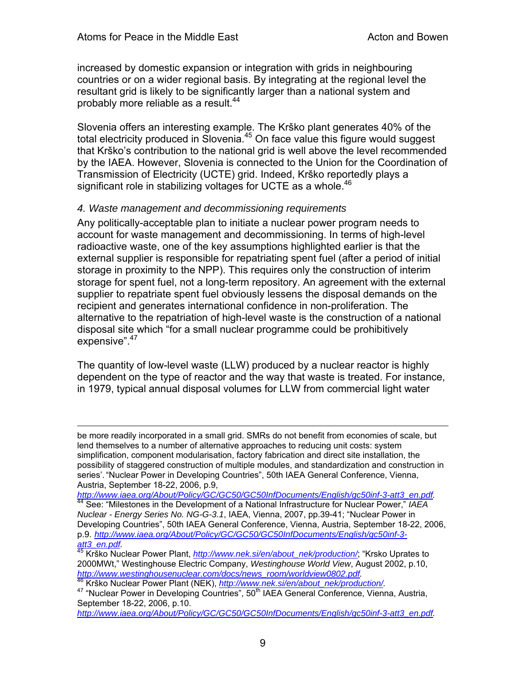increased by domestic expansion or integration with grids in neighbouring countries or on a wider regional basis. By integrating at the regional level the resultant grid is likely to be significantly larger than a national system and probably more reliable as a result.<sup>44</sup>

Slovenia offers an interesting example. The Krško plant generates 40% of the total electricity produced in Slovenia.<sup>45</sup> On face value this figure would suggest that Krško's contribution to the national grid is well above the level recommended by the IAEA. However, Slovenia is connected to the Union for the Coordination of Transmission of Electricity (UCTE) grid. Indeed, Krško reportedly plays a significant role in stabilizing voltages for UCTE as a whole. $46$ 

#### *4. Waste management and decommissioning requirements*

Any politically-acceptable plan to initiate a nuclear power program needs to account for waste management and decommissioning. In terms of high-level radioactive waste, one of the key assumptions highlighted earlier is that the external supplier is responsible for repatriating spent fuel (after a period of initial storage in proximity to the NPP). This requires only the construction of interim storage for spent fuel, not a long-term repository. An agreement with the external supplier to repatriate spent fuel obviously lessens the disposal demands on the recipient and generates international confidence in non-proliferation. The alternative to the repatriation of high-level waste is the construction of a national disposal site which "for a small nuclear programme could be prohibitively expensive".<sup>47</sup>

The quantity of low-level waste (LLW) produced by a nuclear reactor is highly dependent on the type of reactor and the way that waste is treated. For instance, in 1979, typical annual disposal volumes for LLW from commercial light water

 be more readily incorporated in a small grid. SMRs do not benefit from economies of scale, but lend themselves to a number of alternative approaches to reducing unit costs: system simplification, component modularisation, factory fabrication and direct site installation, the possibility of staggered construction of multiple modules, and standardization and construction in series'. "Nuclear Power in Developing Countries", 50th IAEA General Conference, Vienna, Austria, September 18-22, 2006, p.9,

*http://www.iaea.org/About/Policy/GC/GC50/GC50InfDocuments/English/gc50inf-3-att3\_en.pdf.* 44 See: "Milestones in the Development of a National Infrastructure for Nuclear Power," *IAEA* 

*Nuclear - Energy Series No. NG-G-3.1*, IAEA, Vienna, 2007, pp.39-41; "Nuclear Power in Developing Countries", 50th IAEA General Conference, Vienna, Austria, September 18-22, 2006, p.9. *http://www.iaea.org/About/Policy/GC/GC50/GC50InfDocuments/English/gc50inf-3-*

September 18-22, 2006, p.10.

*http://www.iaea.org/About/Policy/GC/GC50/GC50InfDocuments/English/gc50inf-3-att3\_en.pdf.*

*att3\_en.pdf.* 45 Krško Nuclear Power Plant, *http://www.nek.si/en/about\_nek/production/*; "Krsko Uprates to 2000MWt," Westinghouse Electric Company, *Westinghouse World View*, August 2002, p.10, http://www.westinghousenuclear.com/docs/news\_room/worldview0802.pdf.<br><sup>46</sup> Krško Nuclear Power Plant (NEK), http://www.nek.si/en/about\_nek/production/.<br><sup>47</sup> "Nuclear Power in Developing Countries", 50<sup>th</sup> IAEA General Confe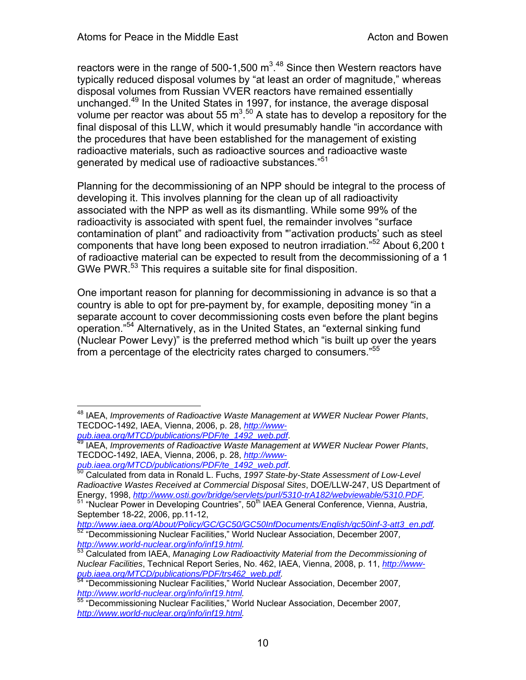reactors were in the range of 500-1,500  $m^{3.48}$  Since then Western reactors have typically reduced disposal volumes by "at least an order of magnitude," whereas disposal volumes from Russian VVER reactors have remained essentially unchanged.<sup>49</sup> In the United States in 1997, for instance, the average disposal volume per reactor was about 55  $m^3$ .<sup>50</sup> A state has to develop a repository for the final disposal of this LLW, which it would presumably handle "in accordance with the procedures that have been established for the management of existing radioactive materials, such as radioactive sources and radioactive waste generated by medical use of radioactive substances."<sup>51</sup>

Planning for the decommissioning of an NPP should be integral to the process of developing it. This involves planning for the clean up of all radioactivity associated with the NPP as well as its dismantling. While some 99% of the radioactivity is associated with spent fuel, the remainder involves "surface contamination of plant" and radioactivity from "'activation products' such as steel components that have long been exposed to neutron irradiation."52 About 6,200 t of radioactive material can be expected to result from the decommissioning of a 1 GWe PWR.<sup>53</sup> This requires a suitable site for final disposition.

One important reason for planning for decommissioning in advance is so that a country is able to opt for pre-payment by, for example, depositing money "in a separate account to cover decommissioning costs even before the plant begins operation."54 Alternatively, as in the United States, an "external sinking fund (Nuclear Power Levy)" is the preferred method which "is built up over the years from a percentage of the electricity rates charged to consumers."<sup>55</sup>

 $\overline{a}$ 48 IAEA, *Improvements of Radioactive Waste Management at WWER Nuclear Power Plants*, TECDOC-1492, IAEA, Vienna, 2006, p. 28, *http://www-*

*pub.iaea.org/MTCD/publications/PDF/te\_1492\_web.pdf*. 49 IAEA, *Improvements of Radioactive Waste Management at WWER Nuclear Power Plants*, TECDOC-1492, IAEA, Vienna, 2006, p. 28, *http://www-*

*pub.iaea.org/MTCD/publications/PDF/te\_1492\_web.pdf*. 50 Calculated from data in Ronald L. Fuchs, *1997 State-by-State Assessment of Low-Level Radioactive Wastes Received at Commercial Disposal Sites*, DOE/LLW-247, US Department of Energy, 1998, *http://www.osti.gov/bridge/servlets/purl/5310-trA182/webviewable/5310.PDF*.<br><sup>51</sup> "Nuclear Power in Developing Countries", 50<sup>th</sup> IAEA General Conference, Vienna, Austria,

September 18-22, 2006, pp.11-12,

*http://www.iaea.org/About/Policy/GC/GC50/GC50InfDocuments/English/gc50inf-3-att3\_en.pdf.* 52 "Decommissioning Nuclear Facilities," World Nuclear Association, December 2007*, http://www.world-nuclear.org/info/inf19.html.* 53 Calculated from IAEA, *Managing Low Radioactivity Material from the Decommissioning of* 

*Nuclear Facilities*, Technical Report Series, No. 462, IAEA, Vienna, 2008, p. 11, *http://wwwpub.iaea.org/MTCD/publications/PDF/trs462\_web.pdf.* 54 "Decommissioning Nuclear Facilities," World Nuclear Association, December 2007*,* 

*http://www.world-nuclear.org/info/inf19.html.* 55 "Decommissioning Nuclear Facilities," World Nuclear Association, December 2007*,* 

*http://www.world-nuclear.org/info/inf19.html.*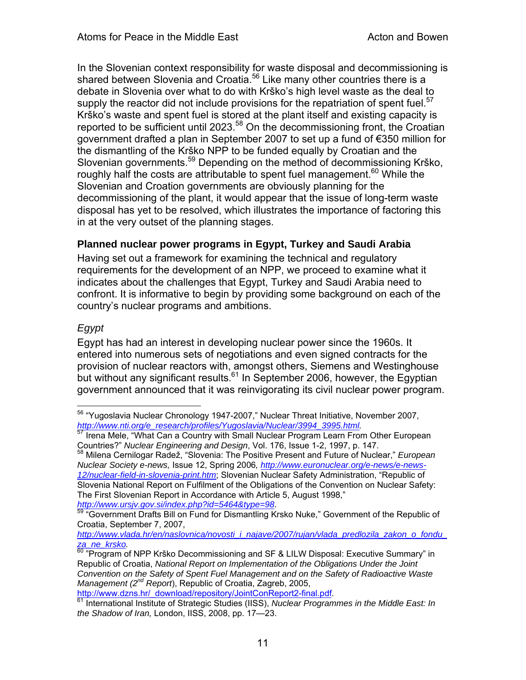In the Slovenian context responsibility for waste disposal and decommissioning is shared between Slovenia and Croatia.<sup>56</sup> Like many other countries there is a debate in Slovenia over what to do with Krško's high level waste as the deal to supply the reactor did not include provisions for the repatriation of spent fuel.<sup>57</sup> Krško's waste and spent fuel is stored at the plant itself and existing capacity is reported to be sufficient until 2023.<sup>58</sup> On the decommissioning front, the Croatian government drafted a plan in September 2007 to set up a fund of €350 million for the dismantling of the Krško NPP to be funded equally by Croatian and the Slovenian governments.59 Depending on the method of decommissioning Krško, roughly half the costs are attributable to spent fuel management.<sup>60</sup> While the Slovenian and Croation governments are obviously planning for the decommissioning of the plant, it would appear that the issue of long-term waste disposal has yet to be resolved, which illustrates the importance of factoring this in at the very outset of the planning stages.

## **Planned nuclear power programs in Egypt, Turkey and Saudi Arabia**

Having set out a framework for examining the technical and regulatory requirements for the development of an NPP, we proceed to examine what it indicates about the challenges that Egypt, Turkey and Saudi Arabia need to confront. It is informative to begin by providing some background on each of the country's nuclear programs and ambitions.

# *Egypt*

Egypt has had an interest in developing nuclear power since the 1960s. It entered into numerous sets of negotiations and even signed contracts for the provision of nuclear reactors with, amongst others, Siemens and Westinghouse but without any significant results.<sup>61</sup> In September 2006, however, the Egyptian government announced that it was reinvigorating its civil nuclear power program.

 $\overline{a}$ 56 "Yugoslavia Nuclear Chronology 1947-2007," Nuclear Threat Initiative, November 2007,

*http://www.nti.org/e\_research/profiles/Yugoslavia/Nuclear/3994\_3995.html.* 57 Irena Mele, "What Can a Country with Small Nuclear Program Learn From Other European Countries?" Nuclear Engineering and Design, Vol. 176, Issu

<sup>&</sup>lt;sup>58</sup> Milena Cernilogar Radež, "Slovenia: The Positive Present and Future of Nuclear," European *Nuclear Society e-news,* Issue 12, Spring 2006*, http://www.euronuclear.org/e-news/e-news-12/nuclear-field-in-slovenia-print.htm*; Slovenian Nuclear Safety Administration, "Republic of Slovenia National Report on Fulfilment of the Obligations of the Convention on Nuclear Safety: The First Slovenian Report in Accordance with Article 5, August 1998,"

*http://www.ursjv.gov.si/index.php?id=5464&type=98*. 59 "Government Drafts Bill on Fund for Dismantling Krsko Nuke," Government of the Republic of Croatia, September 7, 2007,

*http://www.vlada.hr/en/naslovnica/novosti\_i\_najave/2007/rujan/vlada\_predlozila\_zakon\_o\_fondu\_*

za\_ne\_krsko.<br><sup>60</sup> "Program of NPP Krško Decommissioning and SF & LILW Disposal: Executive Summary" in Republic of Croatia, *National Report on Implementation of the Obligations Under the Joint Convention on the Safety of Spent Fuel Management and on the Safety of Radioactive Waste Management (2<sup>nd</sup> Report*), Republic of Croatia, Zagreb, 2005,<br>http://www.dzns.hr/\_download/repository/JointConReport2-final.pdf.

http://www.dzans.hr/2012.hr/2012.hr/download/reportances.hr/addies (IISS), *Nuclear Programmes in the Middle East: In the Shadow of Iran,* London, IISS, 2008, pp. 17—23.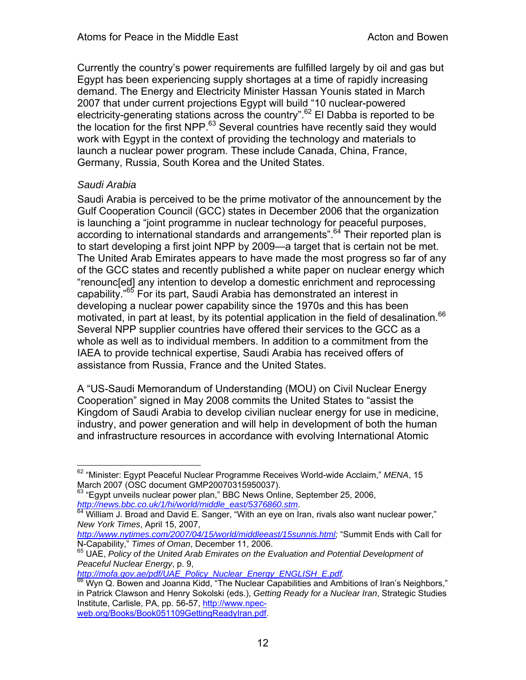Currently the country's power requirements are fulfilled largely by oil and gas but Egypt has been experiencing supply shortages at a time of rapidly increasing demand. The Energy and Electricity Minister Hassan Younis stated in March 2007 that under current projections Egypt will build "10 nuclear-powered electricity-generating stations across the country".<sup>62</sup> El Dabba is reported to be the location for the first NPP.<sup>63</sup> Several countries have recently said they would work with Egypt in the context of providing the technology and materials to launch a nuclear power program. These include Canada, China, France, Germany, Russia, South Korea and the United States.

#### *Saudi Arabia*

Saudi Arabia is perceived to be the prime motivator of the announcement by the Gulf Cooperation Council (GCC) states in December 2006 that the organization is launching a "joint programme in nuclear technology for peaceful purposes, according to international standards and arrangements".<sup>64</sup> Their reported plan is to start developing a first joint NPP by 2009—a target that is certain not be met. The United Arab Emirates appears to have made the most progress so far of any of the GCC states and recently published a white paper on nuclear energy which "renounc[ed] any intention to develop a domestic enrichment and reprocessing capability."65 For its part, Saudi Arabia has demonstrated an interest in developing a nuclear power capability since the 1970s and this has been motivated, in part at least, by its potential application in the field of desalination.<sup>66</sup> Several NPP supplier countries have offered their services to the GCC as a whole as well as to individual members. In addition to a commitment from the IAEA to provide technical expertise, Saudi Arabia has received offers of assistance from Russia, France and the United States.

A "US-Saudi Memorandum of Understanding (MOU) on Civil Nuclear Energy Cooperation" signed in May 2008 commits the United States to "assist the Kingdom of Saudi Arabia to develop civilian nuclear energy for use in medicine, industry, and power generation and will help in development of both the human and infrastructure resources in accordance with evolving International Atomic

<sup>1</sup> 62 "Minister: Egypt Peaceful Nuclear Programme Receives World-wide Acclaim," *MENA*, 15 March 2007 (OSC document GMP20070315950037).

 $63$  "Egypt unveils nuclear power plan," BBC News Online, September 25, 2006,

*http://news.bbc.co.uk/1/hi/world/middle\_east/5376860.stm*. 64 William J. Broad and David E. Sanger, "With an eye on Iran, rivals also want nuclear power," *New York Times*, April 15, 2007,

*http://www.nytimes.com/2007/04/15/world/middleeast/15sunnis.html;* "Summit Ends with Call for N-Capability," *Times of Oman*, December 11, 2006.

<sup>65</sup> UAE, *Policy of the United Arab Emirates on the Evaluation and Potential Development of Peaceful Nuclear Energy*, p. 9,

*http://mofa.gov.ae/pdf/UAE\_Policy\_Nuclear\_Energy\_ENGLISH\_E.pdf.* 66 Wyn Q. Bowen and Joanna Kidd, "The Nuclear Capabilities and Ambitions of Iran's Neighbors," in Patrick Clawson and Henry Sokolski (eds.), *Getting Ready for a Nuclear Iran*, Strategic Studies Institute, Carlisle, PA, pp. 56-57, http://www.npecweb.org/Books/Book051109GettingReadyIran.pdf.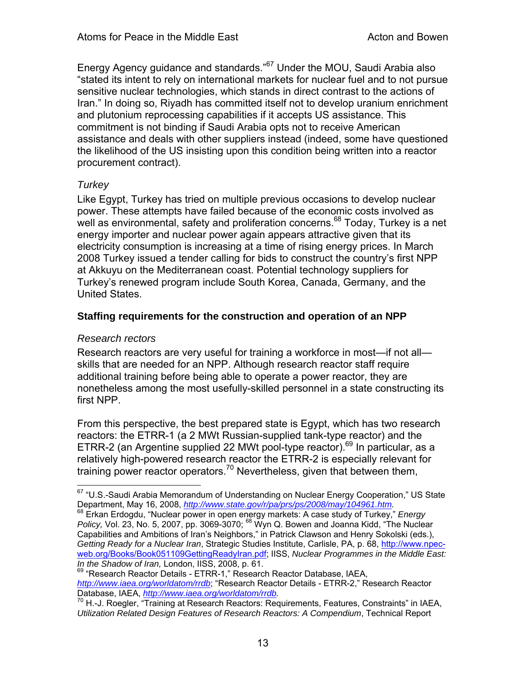Energy Agency guidance and standards."67 Under the MOU, Saudi Arabia also "stated its intent to rely on international markets for nuclear fuel and to not pursue sensitive nuclear technologies, which stands in direct contrast to the actions of Iran." In doing so, Riyadh has committed itself not to develop uranium enrichment and plutonium reprocessing capabilities if it accepts US assistance. This commitment is not binding if Saudi Arabia opts not to receive American assistance and deals with other suppliers instead (indeed, some have questioned the likelihood of the US insisting upon this condition being written into a reactor procurement contract).

## *Turkey*

Like Egypt, Turkey has tried on multiple previous occasions to develop nuclear power. These attempts have failed because of the economic costs involved as well as environmental, safety and proliferation concerns.<sup>68</sup> Today, Turkey is a net energy importer and nuclear power again appears attractive given that its electricity consumption is increasing at a time of rising energy prices. In March 2008 Turkey issued a tender calling for bids to construct the country's first NPP at Akkuyu on the Mediterranean coast. Potential technology suppliers for Turkey's renewed program include South Korea, Canada, Germany, and the United States.

## **Staffing requirements for the construction and operation of an NPP**

## *Research rectors*

Research reactors are very useful for training a workforce in most—if not all skills that are needed for an NPP. Although research reactor staff require additional training before being able to operate a power reactor, they are nonetheless among the most usefully-skilled personnel in a state constructing its first NPP.

From this perspective, the best prepared state is Egypt, which has two research reactors: the ETRR-1 (a 2 MWt Russian-supplied tank-type reactor) and the ETRR-2 (an Argentine supplied 22 MWt pool-type reactor).69 In particular, as a relatively high-powered research reactor the ETRR-2 is especially relevant for training power reactor operators.<sup>70</sup> Nevertheless, given that between them,

 $\overline{a}$  $67$  "U.S.-Saudi Arabia Memorandum of Understanding on Nuclear Energy Cooperation," US State

Department, May 16, 2008, *http://www.state.gov/r/pa/prs/ps/2008/may/104961.htm.* 68 Erkan Erdogdu, "Nuclear power in open energy markets: A case study of Turkey," *Energy Policy, Vol. 23, No. 5, 2007, pp. 3069-3070;* <sup>68</sup> Wyn Q. Bowen and Joanna Kidd, "The Nuclear Capabilities and Ambitions of Iran's Neighbors," in Patrick Clawson and Henry Sokolski (eds.), *Getting Ready for a Nuclear Iran*, Strategic Studies Institute, Carlisle, PA, p. 68, http://www.npecweb.org/Books/Book051109GettingReadyIran.pdf; IISS, *Nuclear Programmes in the Middle East:* 

*In the Shadow of Iran, 2008, 2008, 2008, P. Research Reactor Database, IAEA, http://www.iaea.org/worldatom/rrdb*; "Research Reactor Details - ETRR-2," Research Reactor

Database, IAEA, *http://www.iaea.org/worldatom/rrdb.* 70 H.-J. Roegler, "Training at Research Reactors: Requirements, Features, Constraints" in IAEA, *Utilization Related Design Features of Research Reactors: A Compendium*, Technical Report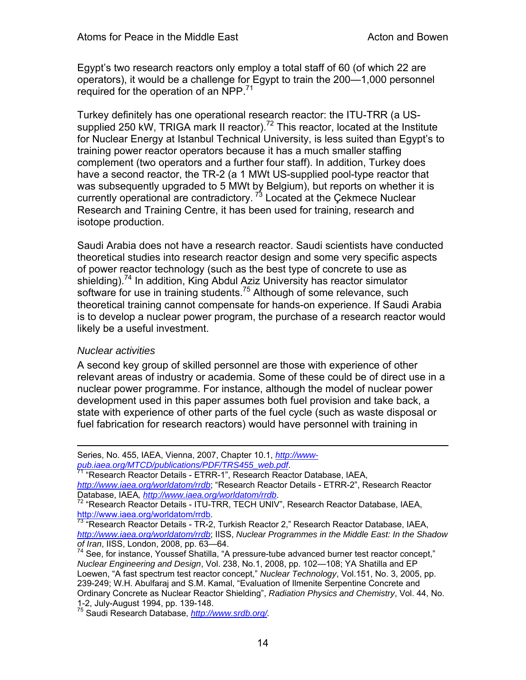Egypt's two research reactors only employ a total staff of 60 (of which 22 are operators), it would be a challenge for Egypt to train the 200—1,000 personnel required for the operation of an NPP.<sup>71</sup>

Turkey definitely has one operational research reactor: the ITU-TRR (a USsupplied 250 kW, TRIGA mark II reactor).<sup>72</sup> This reactor, located at the Institute for Nuclear Energy at Istanbul Technical University, is less suited than Egypt's to training power reactor operators because it has a much smaller staffing complement (two operators and a further four staff). In addition, Turkey does have a second reactor, the TR-2 (a 1 MWt US-supplied pool-type reactor that was subsequently upgraded to 5 MWt by Belgium), but reports on whether it is currently operational are contradictory.<sup>73</sup> Located at the Cekmece Nuclear Research and Training Centre, it has been used for training, research and isotope production.

Saudi Arabia does not have a research reactor. Saudi scientists have conducted theoretical studies into research reactor design and some very specific aspects of power reactor technology (such as the best type of concrete to use as shielding).<sup>74</sup> In addition, King Abdul Aziz University has reactor simulator software for use in training students.<sup>75</sup> Although of some relevance, such theoretical training cannot compensate for hands-on experience. If Saudi Arabia is to develop a nuclear power program, the purchase of a research reactor would likely be a useful investment.

#### *Nuclear activities*

A second key group of skilled personnel are those with experience of other relevant areas of industry or academia. Some of these could be of direct use in a nuclear power programme. For instance, although the model of nuclear power development used in this paper assumes both fuel provision and take back, a state with experience of other parts of the fuel cycle (such as waste disposal or fuel fabrication for research reactors) would have personnel with training in

75 Saudi Research Database, *http://www.srdb.org/.*

Series, No. 455, IAEA, Vienna, 2007, Chapter 10.1, *http://www-*

*pub.iaea.org/MTCD/publications/PDF/TRS455\_web.pdf*. 71 "Research Reactor Details - ETRR-1", Research Reactor Database, IAEA, *http://www.iaea.org/worldatom/rrdb*; "Research Reactor Details - ETRR-2", Research Reactor Database, IAEA, *http://www.iaea.org/worldatom/rrdb*.<br><sup>72</sup> "Research Reactor Details - ITU-TRR, TECH UNIV", Research Reactor Database, IAEA,

http://www.iaea.org/worldatom/rrdb.<br><sup>73</sup> "Research Reactor Details - TR-2, Turkish Reactor 2," Research Reactor Database, IAEA, *http://www.iaea.org/worldatom/rrdb*; IISS, *Nuclear Programmes in the Middle East: In the Shadow of Iran*, IISS, London, 2008, pp. 63—64.<br><sup>74</sup> See, for instance, Youssef Shatilla, "A pressure-tube advanced burner test reactor concept,"

*Nuclear Engineering and Design*, Vol. 238, No.1, 2008, pp. 102—108; YA Shatilla and EP Loewen, "A fast spectrum test reactor concept," *Nuclear Technology*, Vol.151, No. 3, 2005, pp. 239-249; W.H. Abulfaraj and S.M. Kamal, "Evaluation of Ilmenite Serpentine Concrete and Ordinary Concrete as Nuclear Reactor Shielding", *Radiation Physics and Chemistry*, Vol. 44, No. 1-2, July-August 1994, pp. 139-148.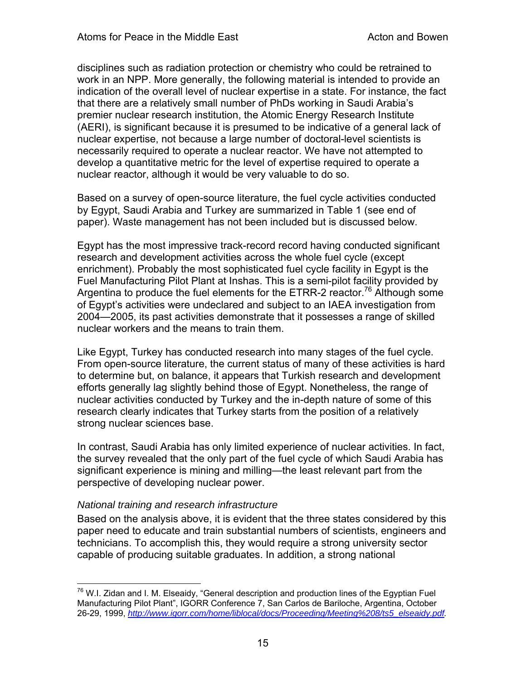disciplines such as radiation protection or chemistry who could be retrained to work in an NPP. More generally, the following material is intended to provide an indication of the overall level of nuclear expertise in a state. For instance, the fact that there are a relatively small number of PhDs working in Saudi Arabia's premier nuclear research institution, the Atomic Energy Research Institute (AERI), is significant because it is presumed to be indicative of a general lack of nuclear expertise, not because a large number of doctoral-level scientists is necessarily required to operate a nuclear reactor. We have not attempted to develop a quantitative metric for the level of expertise required to operate a nuclear reactor, although it would be very valuable to do so.

Based on a survey of open-source literature, the fuel cycle activities conducted by Egypt, Saudi Arabia and Turkey are summarized in Table 1 (see end of paper). Waste management has not been included but is discussed below.

Egypt has the most impressive track-record record having conducted significant research and development activities across the whole fuel cycle (except enrichment). Probably the most sophisticated fuel cycle facility in Egypt is the Fuel Manufacturing Pilot Plant at Inshas. This is a semi-pilot facility provided by Argentina to produce the fuel elements for the ETRR-2 reactor.<sup>76</sup> Although some of Egypt's activities were undeclared and subject to an IAEA investigation from 2004—2005, its past activities demonstrate that it possesses a range of skilled nuclear workers and the means to train them.

Like Egypt, Turkey has conducted research into many stages of the fuel cycle. From open-source literature, the current status of many of these activities is hard to determine but, on balance, it appears that Turkish research and development efforts generally lag slightly behind those of Egypt. Nonetheless, the range of nuclear activities conducted by Turkey and the in-depth nature of some of this research clearly indicates that Turkey starts from the position of a relatively strong nuclear sciences base.

In contrast, Saudi Arabia has only limited experience of nuclear activities. In fact, the survey revealed that the only part of the fuel cycle of which Saudi Arabia has significant experience is mining and milling—the least relevant part from the perspective of developing nuclear power.

#### *National training and research infrastructure*

Based on the analysis above, it is evident that the three states considered by this paper need to educate and train substantial numbers of scientists, engineers and technicians. To accomplish this, they would require a strong university sector capable of producing suitable graduates. In addition, a strong national

 $\overline{a}$  $76$  W.I. Zidan and I. M. Elseaidy, "General description and production lines of the Egyptian Fuel Manufacturing Pilot Plant", IGORR Conference 7, San Carlos de Bariloche, Argentina, October 26-29, 1999, *http://www.igorr.com/home/liblocal/docs/Proceeding/Meeting%208/ts5\_elseaidy.pdf.*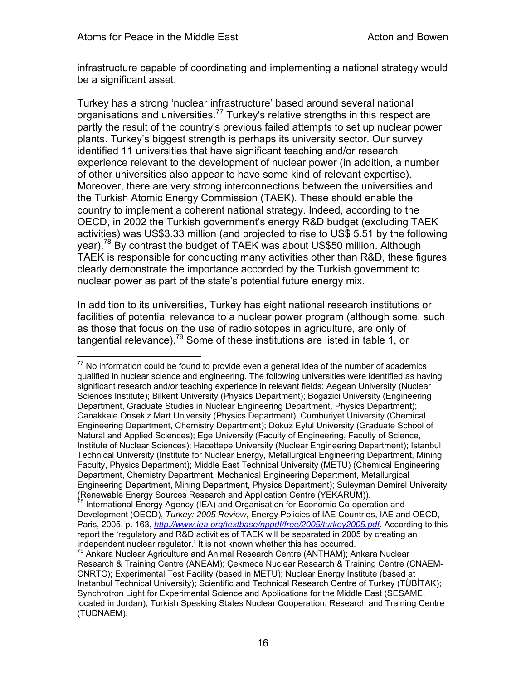$\overline{a}$ 

infrastructure capable of coordinating and implementing a national strategy would be a significant asset.

Turkey has a strong 'nuclear infrastructure' based around several national organisations and universities.<sup>77</sup> Turkey's relative strengths in this respect are partly the result of the country's previous failed attempts to set up nuclear power plants. Turkey's biggest strength is perhaps its university sector. Our survey identified 11 universities that have significant teaching and/or research experience relevant to the development of nuclear power (in addition, a number of other universities also appear to have some kind of relevant expertise). Moreover, there are very strong interconnections between the universities and the Turkish Atomic Energy Commission (TAEK). These should enable the country to implement a coherent national strategy. Indeed, according to the OECD, in 2002 the Turkish government's energy R&D budget (excluding TAEK activities) was US\$3.33 million (and projected to rise to US\$ 5.51 by the following year).<sup>78</sup> By contrast the budget of TAEK was about US\$50 million. Although TAEK is responsible for conducting many activities other than R&D, these figures clearly demonstrate the importance accorded by the Turkish government to nuclear power as part of the state's potential future energy mix.

In addition to its universities, Turkey has eight national research institutions or facilities of potential relevance to a nuclear power program (although some, such as those that focus on the use of radioisotopes in agriculture, are only of tangential relevance).79 Some of these institutions are listed in table 1, or

 $77$  No information could be found to provide even a general idea of the number of academics qualified in nuclear science and engineering. The following universities were identified as having significant research and/or teaching experience in relevant fields: Aegean University (Nuclear Sciences Institute); Bilkent University (Physics Department); Bogazici University (Engineering Department, Graduate Studies in Nuclear Engineering Department, Physics Department); Canakkale Onsekiz Mart University (Physics Department); Cumhuriyet University (Chemical Engineering Department, Chemistry Department); Dokuz Eylul University (Graduate School of Natural and Applied Sciences); Ege University (Faculty of Engineering, Faculty of Science, Institute of Nuclear Sciences); Hacettepe University (Nuclear Engineering Department); Istanbul Technical University (Institute for Nuclear Energy, Metallurgical Engineering Department, Mining Faculty, Physics Department); Middle East Technical University (METU) (Chemical Engineering Department, Chemistry Department, Mechanical Engineering Department, Metallurgical Engineering Department, Mining Department, Physics Department); Suleyman Demirel University (Renewable Energy Sources Research and Application Centre (YEKARUM)).<br><sup>78</sup> International Energy Agency (IEA) and Organisation for Economic Co-operation and

Development (OECD), *Turkey: 2005 Review*, Energy Policies of IAE Countries, IAE and OECD, Paris, 2005, p. 163, *http://www.iea.org/textbase/nppdf/free/2005/turkey2005.pdf*. According to this report the 'regulatory and R&D activities of TAEK will be separated in 2005 by creating an independent nuclear regulator.' It is not known whether this has occurred.

<sup>&</sup>lt;sup>79</sup> Ankara Nuclear Agriculture and Animal Research Centre (ANTHAM); Ankara Nuclear Research & Training Centre (ANEAM); Çekmece Nuclear Research & Training Centre (CNAEM-CNRTC); Experimental Test Facility (based in METU); Nuclear Energy Institute (based at Instanbul Technical University); Scientific and Technical Research Centre of Turkey (TÜBİTAK); Synchrotron Light for Experimental Science and Applications for the Middle East (SESAME, located in Jordan); Turkish Speaking States Nuclear Cooperation, Research and Training Centre (TUDNAEM).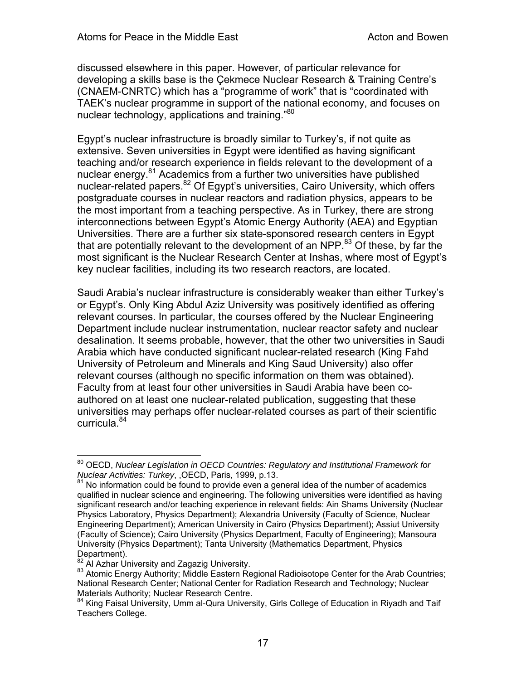discussed elsewhere in this paper. However, of particular relevance for developing a skills base is the Çekmece Nuclear Research & Training Centre's (CNAEM-CNRTC) which has a "programme of work" that is "coordinated with TAEK's nuclear programme in support of the national economy, and focuses on nuclear technology, applications and training."<sup>80</sup>

Egypt's nuclear infrastructure is broadly similar to Turkey's, if not quite as extensive. Seven universities in Egypt were identified as having significant teaching and/or research experience in fields relevant to the development of a nuclear energy.<sup>81</sup> Academics from a further two universities have published nuclear-related papers.<sup>82</sup> Of Egypt's universities, Cairo University, which offers postgraduate courses in nuclear reactors and radiation physics, appears to be the most important from a teaching perspective. As in Turkey, there are strong interconnections between Egypt's Atomic Energy Authority (AEA) and Egyptian Universities. There are a further six state-sponsored research centers in Egypt that are potentially relevant to the development of an NPP. $^{83}$  Of these, by far the most significant is the Nuclear Research Center at Inshas, where most of Egypt's key nuclear facilities, including its two research reactors, are located.

Saudi Arabia's nuclear infrastructure is considerably weaker than either Turkey's or Egypt's. Only King Abdul Aziz University was positively identified as offering relevant courses. In particular, the courses offered by the Nuclear Engineering Department include nuclear instrumentation, nuclear reactor safety and nuclear desalination. It seems probable, however, that the other two universities in Saudi Arabia which have conducted significant nuclear-related research (King Fahd University of Petroleum and Minerals and King Saud University) also offer relevant courses (although no specific information on them was obtained). Faculty from at least four other universities in Saudi Arabia have been coauthored on at least one nuclear-related publication, suggesting that these universities may perhaps offer nuclear-related courses as part of their scientific curricula.<sup>84</sup>

1

<sup>80</sup> OECD, *Nuclear Legislation in OECD Countries: Regulatory and Institutional Framework for Nuclear Activities: Turkey*, ,OECD, Paris, 1999, p.13.<br><sup>81</sup> No information could be found to provide even a general idea of the number of academics

qualified in nuclear science and engineering. The following universities were identified as having significant research and/or teaching experience in relevant fields: Ain Shams University (Nuclear Physics Laboratory, Physics Department); Alexandria University (Faculty of Science, Nuclear Engineering Department); American University in Cairo (Physics Department); Assiut University (Faculty of Science); Cairo University (Physics Department, Faculty of Engineering); Mansoura University (Physics Department); Tanta University (Mathematics Department, Physics Department).<br><sup>82</sup> Al Azhar University and Zagazig University.

<sup>83</sup> Atomic Energy Authority; Middle Eastern Regional Radioisotope Center for the Arab Countries; National Research Center; National Center for Radiation Research and Technology; Nuclear Materials Authority; Nuclear Research Centre.

<sup>&</sup>lt;sup>84</sup> King Faisal University, Umm al-Qura University, Girls College of Education in Riyadh and Taif Teachers College.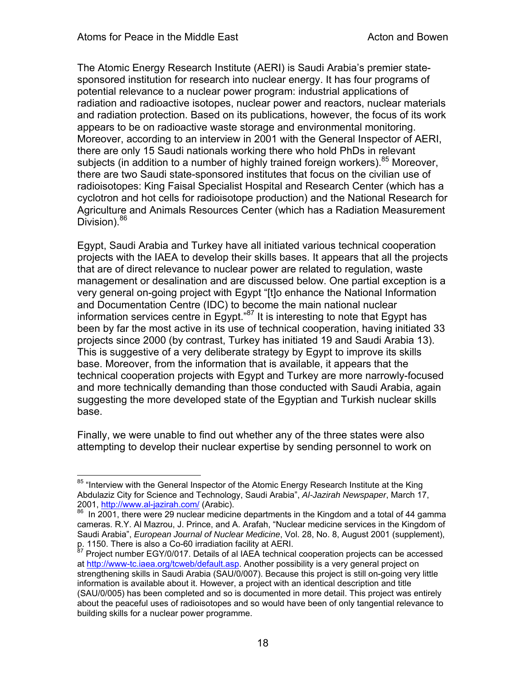1

The Atomic Energy Research Institute (AERI) is Saudi Arabia's premier statesponsored institution for research into nuclear energy. It has four programs of potential relevance to a nuclear power program: industrial applications of radiation and radioactive isotopes, nuclear power and reactors, nuclear materials and radiation protection. Based on its publications, however, the focus of its work appears to be on radioactive waste storage and environmental monitoring. Moreover, according to an interview in 2001 with the General Inspector of AERI, there are only 15 Saudi nationals working there who hold PhDs in relevant subjects (in addition to a number of highly trained foreign workers).<sup>85</sup> Moreover, there are two Saudi state-sponsored institutes that focus on the civilian use of radioisotopes: King Faisal Specialist Hospital and Research Center (which has a cyclotron and hot cells for radioisotope production) and the National Research for Agriculture and Animals Resources Center (which has a Radiation Measurement Division).<sup>86</sup>

Egypt, Saudi Arabia and Turkey have all initiated various technical cooperation projects with the IAEA to develop their skills bases. It appears that all the projects that are of direct relevance to nuclear power are related to regulation, waste management or desalination and are discussed below. One partial exception is a very general on-going project with Egypt "[t]o enhance the National Information and Documentation Centre (IDC) to become the main national nuclear information services centre in Egypt."87 It is interesting to note that Egypt has been by far the most active in its use of technical cooperation, having initiated 33 projects since 2000 (by contrast, Turkey has initiated 19 and Saudi Arabia 13). This is suggestive of a very deliberate strategy by Egypt to improve its skills base. Moreover, from the information that is available, it appears that the technical cooperation projects with Egypt and Turkey are more narrowly-focused and more technically demanding than those conducted with Saudi Arabia, again suggesting the more developed state of the Egyptian and Turkish nuclear skills base.

Finally, we were unable to find out whether any of the three states were also attempting to develop their nuclear expertise by sending personnel to work on

 $85$  "Interview with the General Inspector of the Atomic Energy Research Institute at the King Abdulaziz City for Science and Technology, Saudi Arabia", *Al-Jazirah Newspaper*, March 17,

<sup>2001,</sup> http://www.al-jazirah.com/ (Arabic).<br><sup>86</sup> In 2001, there were 29 nuclear medicine departments in the Kingdom and a total of 44 gamma cameras. R.Y. Al Mazrou, J. Prince, and A. Arafah, "Nuclear medicine services in the Kingdom of Saudi Arabia", *European Journal of Nuclear Medicine*, Vol. 28, No. 8, August 2001 (supplement),<br>p. 1150. There is also a Co-60 irradiation facility at AERI.

Project number EGY/0/017. Details of al IAEA technical cooperation projects can be accessed at http://www-tc.iaea.org/tcweb/default.asp. Another possibility is a very general project on strengthening skills in Saudi Arabia (SAU/0/007). Because this project is still on-going very little information is available about it. However, a project with an identical description and title (SAU/0/005) has been completed and so is documented in more detail. This project was entirely about the peaceful uses of radioisotopes and so would have been of only tangential relevance to building skills for a nuclear power programme.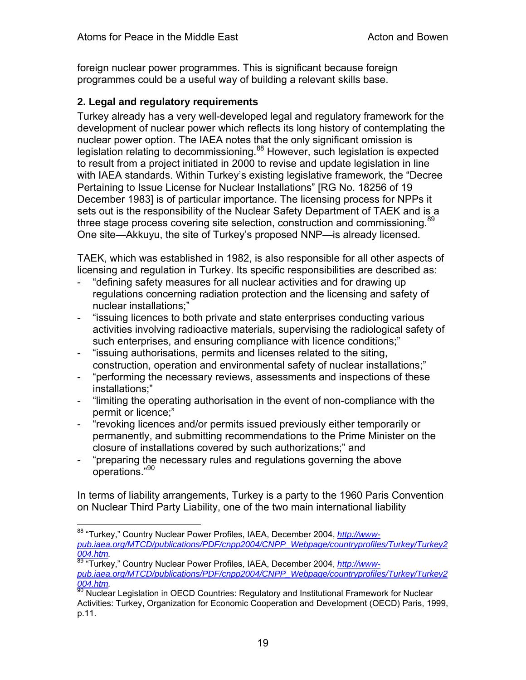foreign nuclear power programmes. This is significant because foreign programmes could be a useful way of building a relevant skills base.

## **2. Legal and regulatory requirements**

Turkey already has a very well-developed legal and regulatory framework for the development of nuclear power which reflects its long history of contemplating the nuclear power option. The IAEA notes that the only significant omission is legislation relating to decommissioning.<sup>88</sup> However, such legislation is expected to result from a project initiated in 2000 to revise and update legislation in line with IAEA standards. Within Turkey's existing legislative framework, the "Decree Pertaining to Issue License for Nuclear Installations" [RG No. 18256 of 19 December 1983] is of particular importance. The licensing process for NPPs it sets out is the responsibility of the Nuclear Safety Department of TAEK and is a three stage process covering site selection, construction and commissioning.<sup>89</sup> One site—Akkuyu, the site of Turkey's proposed NNP—is already licensed.

TAEK, which was established in 1982, is also responsible for all other aspects of licensing and regulation in Turkey. Its specific responsibilities are described as:

- "defining safety measures for all nuclear activities and for drawing up regulations concerning radiation protection and the licensing and safety of nuclear installations;"
- "issuing licences to both private and state enterprises conducting various activities involving radioactive materials, supervising the radiological safety of such enterprises, and ensuring compliance with licence conditions;"
- "issuing authorisations, permits and licenses related to the siting, construction, operation and environmental safety of nuclear installations;"
- "performing the necessary reviews, assessments and inspections of these installations;"
- "limiting the operating authorisation in the event of non-compliance with the permit or licence;"
- "revoking licences and/or permits issued previously either temporarily or permanently, and submitting recommendations to the Prime Minister on the closure of installations covered by such authorizations;" and
- "preparing the necessary rules and regulations governing the above operations."<sup>90</sup>

In terms of liability arrangements, Turkey is a party to the 1960 Paris Convention on Nuclear Third Party Liability, one of the two main international liability

 $\overline{a}$ 88 "Turkey," Country Nuclear Power Profiles, IAEA, December 2004, *http://wwwpub.iaea.org/MTCD/publications/PDF/cnpp2004/CNPP\_Webpage/countryprofiles/Turkey/Turkey2 004.htm.* 89 "Turkey," Country Nuclear Power Profiles, IAEA, December 2004, *http://www-*

*pub.iaea.org/MTCD/publications/PDF/cnpp2004/CNPP\_Webpage/countryprofiles/Turkey/Turkey2* 004.htm.<br><sup>90</sup> Nuclear Legislation in OECD Countries: Regulatory and Institutional Framework for Nuclear

Activities: Turkey, Organization for Economic Cooperation and Development (OECD) Paris, 1999, p.11.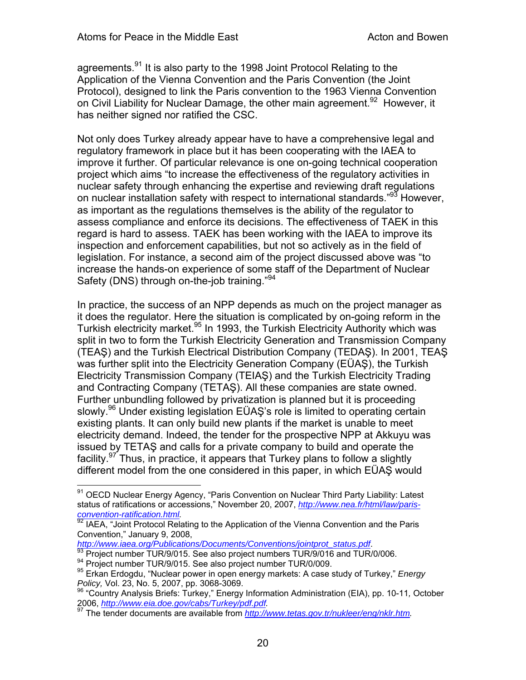agreements.<sup>91</sup> It is also party to the 1998 Joint Protocol Relating to the Application of the Vienna Convention and the Paris Convention (the Joint Protocol), designed to link the Paris convention to the 1963 Vienna Convention on Civil Liability for Nuclear Damage, the other main agreement.<sup>92</sup> However, it has neither signed nor ratified the CSC.

Not only does Turkey already appear have to have a comprehensive legal and regulatory framework in place but it has been cooperating with the IAEA to improve it further. Of particular relevance is one on-going technical cooperation project which aims "to increase the effectiveness of the regulatory activities in nuclear safety through enhancing the expertise and reviewing draft regulations on nuclear installation safety with respect to international standards."<sup>93</sup> However, as important as the regulations themselves is the ability of the regulator to assess compliance and enforce its decisions. The effectiveness of TAEK in this regard is hard to assess. TAEK has been working with the IAEA to improve its inspection and enforcement capabilities, but not so actively as in the field of legislation. For instance, a second aim of the project discussed above was "to increase the hands-on experience of some staff of the Department of Nuclear Safety (DNS) through on-the-job training."<sup>94</sup>

In practice, the success of an NPP depends as much on the project manager as it does the regulator. Here the situation is complicated by on-going reform in the Turkish electricity market.<sup>95</sup> In 1993, the Turkish Electricity Authority which was split in two to form the Turkish Electricity Generation and Transmission Company (TEAŞ) and the Turkish Electrical Distribution Company (TEDAŞ). In 2001, TEAŞ was further split into the Electricity Generation Company (EÜAŞ), the Turkish Electricity Transmission Company (TEIAŞ) and the Turkish Electricity Trading and Contracting Company (TETAŞ). All these companies are state owned. Further unbundling followed by privatization is planned but it is proceeding slowly.<sup>96</sup> Under existing legislation EÜAS's role is limited to operating certain existing plants. It can only build new plants if the market is unable to meet electricity demand. Indeed, the tender for the prospective NPP at Akkuyu was issued by TETAŞ and calls for a private company to build and operate the facility.<sup>97</sup> Thus, in practice, it appears that Turkey plans to follow a slightly different model from the one considered in this paper, in which EÜAŞ would

 $\overline{a}$ 

<sup>&</sup>lt;sup>91</sup> OECD Nuclear Energy Agency, "Paris Convention on Nuclear Third Party Liability: Latest status of ratifications or accessions," November 20, 2007, *http://www.nea.fr/html/law/parisconvention-ratification.html.* 92 IAEA, "Joint Protocol Relating to the Application of the Vienna Convention and the Paris

Convention," January 9, 2008,

http://www.iaea.org/Publications/Documents/Conventions/jointprot\_status.pdf.<br><sup>93</sup> Project number TUR/9/015. See also project numbers TUR/9/016 and TUR/0/006.<br><sup>94</sup> Project number TUR/9/015. See also project number TUR/0/009

<sup>&</sup>lt;sup>96</sup> "Country Analysis Briefs: Turkey," Energy Information Administration (EIA), pp. 10-11, October<br>2006, http://www.eia.doe.gov/cabs/Turkey/pdf.pdf.

<sup>&</sup>lt;sup>77</sup> The tender documents are available from *http://www.tetas.gov.tr/nukleer/eng/nklr.htm.*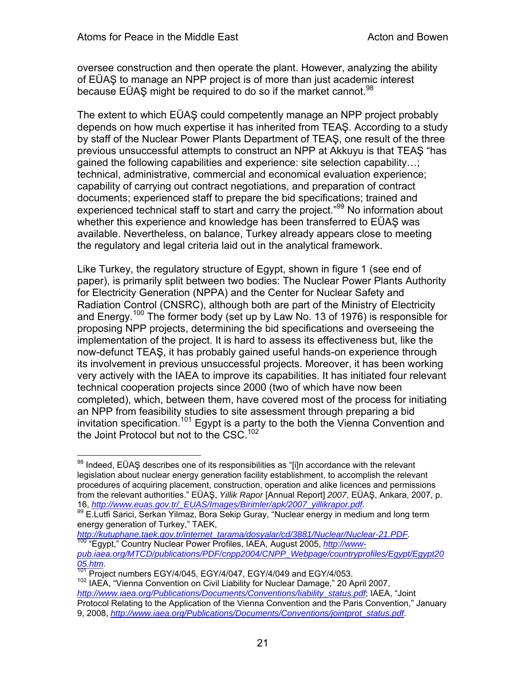oversee construction and then operate the plant. However, analyzing the ability of EÜAŞ to manage an NPP project is of more than just academic interest because EÜAŞ might be required to do so if the market cannot.<sup>98</sup>

The extent to which EÜAŞ could competently manage an NPP project probably depends on how much expertise it has inherited from TEAŞ. According to a study by staff of the Nuclear Power Plants Department of TEAŞ, one result of the three previous unsuccessful attempts to construct an NPP at Akkuyu is that TEAŞ "has gained the following capabilities and experience: site selection capability…; technical, administrative, commercial and economical evaluation experience; capability of carrying out contract negotiations, and preparation of contract documents; experienced staff to prepare the bid specifications; trained and experienced technical staff to start and carry the project."<sup>99</sup> No information about whether this experience and knowledge has been transferred to EÜAŞ was available. Nevertheless, on balance, Turkey already appears close to meeting the regulatory and legal criteria laid out in the analytical framework.

Like Turkey, the regulatory structure of Egypt, shown in figure 1 (see end of paper), is primarily split between two bodies: The Nuclear Power Plants Authority for Electricity Generation (NPPA) and the Center for Nuclear Safety and Radiation Control (CNSRC), although both are part of the Ministry of Electricity and Energy.<sup>100</sup> The former body (set up by Law No. 13 of 1976) is responsible for proposing NPP projects, determining the bid specifications and overseeing the implementation of the project. It is hard to assess its effectiveness but, like the now-defunct TEAŞ, it has probably gained useful hands-on experience through its involvement in previous unsuccessful projects. Moreover, it has been working very actively with the IAEA to improve its capabilities. It has initiated four relevant technical cooperation projects since 2000 (two of which have now been completed), which, between them, have covered most of the process for initiating an NPP from feasibility studies to site assessment through preparing a bid invitation specification.<sup>101</sup> Egypt is a party to the both the Vienna Convention and the Joint Protocol but not to the CSC.<sup>102</sup>

 $\overline{a}$  $98$  Indeed, EÜAŞ describes one of its responsibilities as "[i]n accordance with the relevant legislation about nuclear energy generation facility establishment, to accomplish the relevant procedures of acquiring placement, construction, operation and alike licences and permissions from the relevant authorities." EÜAŞ, *Yillik Rapor* [Annual Report] *2007*, EÜAŞ, Ankara, 2007, p.

<sup>16,</sup> *http://www.euas.gov.tr/\_EUAS/Images/Birimler/apk/2007\_yillikrapor.pdf.* 99 E.Lutfi Sarici, Serkan Yilmaz, Bora Sekip Guray, "Nuclear energy in medium and long term energy generation of Turkey," TAEK,<br>http://kutuphane.taek.gov.tr/internet\_tarama/dosyalar/cd/3881/Nuclear/Nuclear-21.PDF.

*http://kutuphane.taek.gov.tr/internet\_tarama/dosyalar/cd/3881/Nuclear/Nuclear-21.PDF.* 100 "Egypt," Country Nuclear Power Profiles, IAEA, August 2005, *http://www-*

*pub.iaea.org/MTCD/publications/PDF/cnpp2004/CNPP\_Webpage/countryprofiles/Egypt/Egypt20*

<sup>05.</sup>htm.<br><sup>101</sup> Project numbers EGY/4/045, EGY/4/047, EGY/4/049 and EGY/4/053.

<sup>102</sup> IAEA, "Vienna Convention on Civil Liability for Nuclear Damage," 20 April 2007, *http://www.iaea.org/Publications/Documents/Conventions/liability\_status.pdf*; IAEA, "Joint Protocol Relating to the Application of the Vienna Convention and the Paris Convention," January 9, 2008, *http://www.iaea.org/Publications/Documents/Conventions/jointprot\_status.pdf*.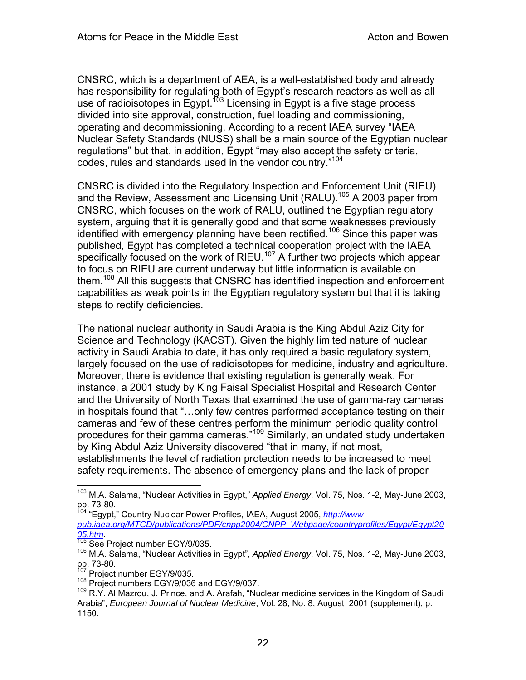CNSRC, which is a department of AEA, is a well-established body and already has responsibility for regulating both of Egypt's research reactors as well as all use of radioisotopes in Egypt.<sup>103</sup> Licensing in Egypt is a five stage process divided into site approval, construction, fuel loading and commissioning, operating and decommissioning. According to a recent IAEA survey "IAEA Nuclear Safety Standards (NUSS) shall be a main source of the Egyptian nuclear regulations" but that, in addition, Egypt "may also accept the safety criteria, codes, rules and standards used in the vendor country."104

CNSRC is divided into the Regulatory Inspection and Enforcement Unit (RIEU) and the Review, Assessment and Licensing Unit (RALU).<sup>105</sup> A 2003 paper from CNSRC, which focuses on the work of RALU, outlined the Egyptian regulatory system, arguing that it is generally good and that some weaknesses previously identified with emergency planning have been rectified.<sup>106</sup> Since this paper was published, Egypt has completed a technical cooperation project with the IAEA specifically focused on the work of RIEU.<sup>107</sup> A further two projects which appear to focus on RIEU are current underway but little information is available on them.<sup>108</sup> All this suggests that CNSRC has identified inspection and enforcement capabilities as weak points in the Egyptian regulatory system but that it is taking steps to rectify deficiencies.

The national nuclear authority in Saudi Arabia is the King Abdul Aziz City for Science and Technology (KACST). Given the highly limited nature of nuclear activity in Saudi Arabia to date, it has only required a basic regulatory system, largely focused on the use of radioisotopes for medicine, industry and agriculture. Moreover, there is evidence that existing regulation is generally weak. For instance, a 2001 study by King Faisal Specialist Hospital and Research Center and the University of North Texas that examined the use of gamma-ray cameras in hospitals found that "…only few centres performed acceptance testing on their cameras and few of these centres perform the minimum periodic quality control procedures for their gamma cameras."109 Similarly, an undated study undertaken by King Abdul Aziz University discovered "that in many, if not most, establishments the level of radiation protection needs to be increased to meet

safety requirements. The absence of emergency plans and the lack of proper

 $\overline{a}$ 103 M.A. Salama, "Nuclear Activities in Egypt," *Applied Energy*, Vol. 75, Nos. 1-2, May-June 2003, pp. 73-80.<br><sup>104</sup> "Eqypt"

<sup>104 &</sup>quot;Egypt," Country Nuclear Power Profiles, IAEA, August 2005, *http://www-*

*pub.iaea.org/MTCD/publications/PDF/cnpp2004/CNPP\_Webpage/countryprofiles/Egypt/Egypt20*

*<sup>05.</sup>htm.* 105 See Project number EGY/9/035. 106 M.A. Salama, "Nuclear Activities in Egypt", *Applied Energy*, Vol. 75, Nos. 1-2, May-June 2003, pp. 73-80.<br><sup>107</sup> Project number EGY/9/035.

<sup>108</sup> Project numbers EGY/9/036 and EGY/9/037.<br><sup>108</sup> Project numbers EGY/9/036 and EGY/9/037.<br><sup>109</sup> R.Y. Al Mazrou, J. Prince, and A. Arafah, "Nuclear medicine services in the Kingdom of Saudi Arabia", *European Journal of Nuclear Medicine*, Vol. 28, No. 8, August 2001 (supplement), p. 1150.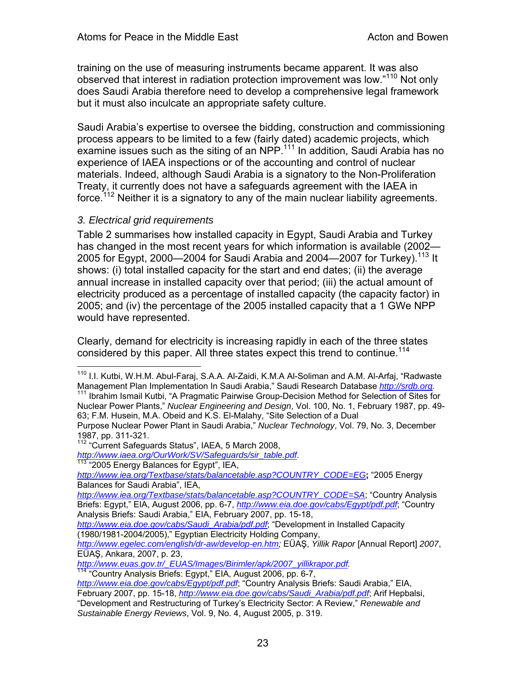training on the use of measuring instruments became apparent. It was also observed that interest in radiation protection improvement was low."<sup>110</sup> Not only does Saudi Arabia therefore need to develop a comprehensive legal framework but it must also inculcate an appropriate safety culture.

Saudi Arabia's expertise to oversee the bidding, construction and commissioning process appears to be limited to a few (fairly dated) academic projects, which examine issues such as the siting of an NPP.<sup>111</sup> In addition, Saudi Arabia has no experience of IAEA inspections or of the accounting and control of nuclear materials. Indeed, although Saudi Arabia is a signatory to the Non-Proliferation Treaty, it currently does not have a safeguards agreement with the IAEA in force.<sup>112</sup> Neither it is a signatory to any of the main nuclear liability agreements.

#### *3. Electrical grid requirements*

1

Table 2 summarises how installed capacity in Egypt, Saudi Arabia and Turkey has changed in the most recent years for which information is available (2002— 2005 for Egypt, 2000—2004 for Saudi Arabia and 2004—2007 for Turkey).<sup>113</sup> It shows: (i) total installed capacity for the start and end dates; (ii) the average annual increase in installed capacity over that period; (iii) the actual amount of electricity produced as a percentage of installed capacity (the capacity factor) in 2005; and (iv) the percentage of the 2005 installed capacity that a 1 GWe NPP would have represented.

Clearly, demand for electricity is increasing rapidly in each of the three states considered by this paper. All three states expect this trend to continue.<sup>114</sup>

*http://www.iaea.org/OurWork/SV/Safeguards/sir\_table.pdf*. 113 "2005 Energy Balances for Egypt", IEA,

*http://www.iea.org/Textbase/stats/balancetable.asp?COUNTRY\_CODE=EG***;** "2005 Energy Balances for Saudi Arabia", IEA,

*http://www.iea.org/Textbase/stats/balancetable.asp?COUNTRY\_CODE=SA*; "Country Analysis Briefs: Egypt," EIA, August 2006, pp. 6-7, *http://www.eia.doe.gov/cabs/Egypt/pdf.pdf*; "Country Analysis Briefs: Saudi Arabia," EIA, February 2007, pp. 15-18,

*http://www.eia.doe.gov/cabs/Saudi\_Arabia/pdf.pdf*; "Development in Installed Capacity (1980/1981-2004/2005)," Egyptian Electricity Holding Company,

*http://www.egelec.com/english/dr-aw/develop-en.htm;* EÜAŞ, *Yillik Rapor* [Annual Report] *2007*, EÜAŞ, Ankara, 2007, p. 23,<br>http://www.euas.gov.tr/ EUAS/Images/Birimler/apk/2007 yillikrapor.pdf.

*http://www.euas.gov.m.* **EUAS/IMAges/IMAges/IMAges/IMAges/IMAges/IMAges/IMAges/IMAges/IMAges/IMAges/IMAges/IMAges/** 

*http://www.eia.doe.gov/cabs/Egypt/pdf.pdf*; "Country Analysis Briefs: Saudi Arabia," EIA, February 2007, pp. 15-18, *http://www.eia.doe.gov/cabs/Saudi\_Arabia/pdf.pdf*; Arif Hepbalsi, "Development and Restructuring of Turkey's Electricity Sector: A Review," *Renewable and Sustainable Energy Reviews*, Vol. 9, No. 4, August 2005, p. 319.

<sup>&</sup>lt;sup>110</sup> I.I. Kutbi, W.H.M. Abul-Faraj, S.A.A. Al-Zaidi, K.M.A Al-Soliman and A.M. Al-Arfaj, "Radwaste Management Plan Implementation In Saudi Arabia," Saudi Research Database *http://srdb.org.* 111 Ibrahim Ismail Kutbi, "A Pragmatic Pairwise Group-Decision Method for Selection of Sites for Nuclear Power Plants," *Nuclear Engineering and Design*, Vol. 100, No. 1, February 1987, pp. 49- 63; F.M. Husein, M.A. Obeid and K.S. El-Malahy, "Site Selection of a Dual

Purpose Nuclear Power Plant in Saudi Arabia," *Nuclear Technology*, Vol. 79, No. 3, December 1987, pp. 311-321.

<sup>&</sup>lt;sup>112</sup> "Current Safeguards Status", IAEA, 5 March 2008,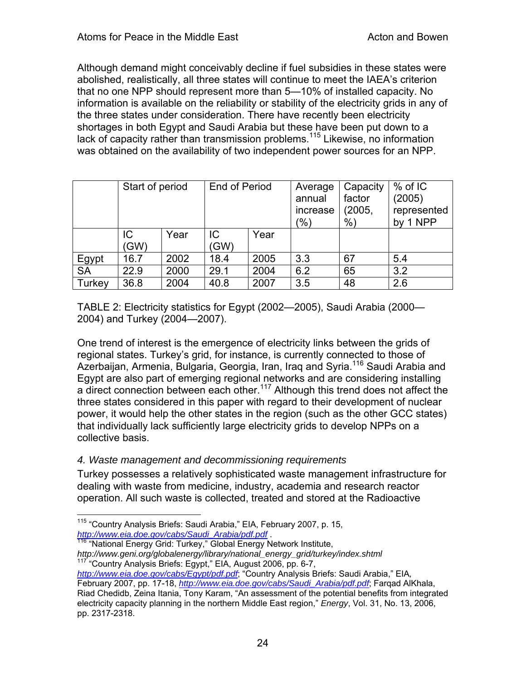Although demand might conceivably decline if fuel subsidies in these states were abolished, realistically, all three states will continue to meet the IAEA's criterion that no one NPP should represent more than 5—10% of installed capacity. No information is available on the reliability or stability of the electricity grids in any of the three states under consideration. There have recently been electricity shortages in both Egypt and Saudi Arabia but these have been put down to a lack of capacity rather than transmission problems.<sup>115</sup> Likewise, no information was obtained on the availability of two independent power sources for an NPP.

|               | Start of period |      | <b>End of Period</b> |      | Average<br>annual<br>increase<br>$\frac{1}{2}$ | Capacity<br>factor<br>(2005,<br>$%$ ) | % of IC<br>(2005)<br>represented<br>by 1 NPP |
|---------------|-----------------|------|----------------------|------|------------------------------------------------|---------------------------------------|----------------------------------------------|
|               | IC<br>(GW)      | Year | IC<br>(GW)           | Year |                                                |                                       |                                              |
| Egypt         | 16.7            | 2002 | 18.4                 | 2005 | 3.3                                            | 67                                    | 5.4                                          |
| <b>SA</b>     | 22.9            | 2000 | 29.1                 | 2004 | 6.2                                            | 65                                    | 3.2                                          |
| <b>Turkey</b> | 36.8            | 2004 | 40.8                 | 2007 | 3.5                                            | 48                                    | 2.6                                          |

TABLE 2: Electricity statistics for Egypt (2002—2005), Saudi Arabia (2000— 2004) and Turkey (2004—2007).

One trend of interest is the emergence of electricity links between the grids of regional states. Turkey's grid, for instance, is currently connected to those of Azerbaijan, Armenia, Bulgaria, Georgia, Iran, Iraq and Syria.<sup>116</sup> Saudi Arabia and Egypt are also part of emerging regional networks and are considering installing a direct connection between each other.<sup>117</sup> Although this trend does not affect the three states considered in this paper with regard to their development of nuclear power, it would help the other states in the region (such as the other GCC states) that individually lack sufficiently large electricity grids to develop NPPs on a collective basis.

# *4. Waste management and decommissioning requirements*

Turkey possesses a relatively sophisticated waste management infrastructure for dealing with waste from medicine, industry, academia and research reactor operation. All such waste is collected, treated and stored at the Radioactive

 $\overline{a}$ <sup>115</sup> "Country Analysis Briefs: Saudi Arabia," EIA, February 2007, p. 15, *http://www.eia.doe.gov/cabs/Saudi\_Arabia/pdf.pdf* . 116 "National Energy Grid: Turkey," Global Energy Network Institute,

*http://www.geni.org/globalenergy/library/national\_energy\_grid/turkey/index.shtml* <sup>117</sup> "Country Analysis Briefs: Egypt," EIA, August 2006, pp. 6-7,

*http://www.eia.doe.gov/cabs/Egypt/pdf.pdf*; "Country Analysis Briefs: Saudi Arabia," EIA*,* February 2007, pp. 17-18, *http://www.eia.doe.gov/cabs/Saudi\_Arabia/pdf.pdf*; Farqad AlKhala, Riad Chedidb, Zeina Itania, Tony Karam, "An assessment of the potential benefits from integrated electricity capacity planning in the northern Middle East region," *Energy*, Vol. 31, No. 13, 2006, pp. 2317-2318.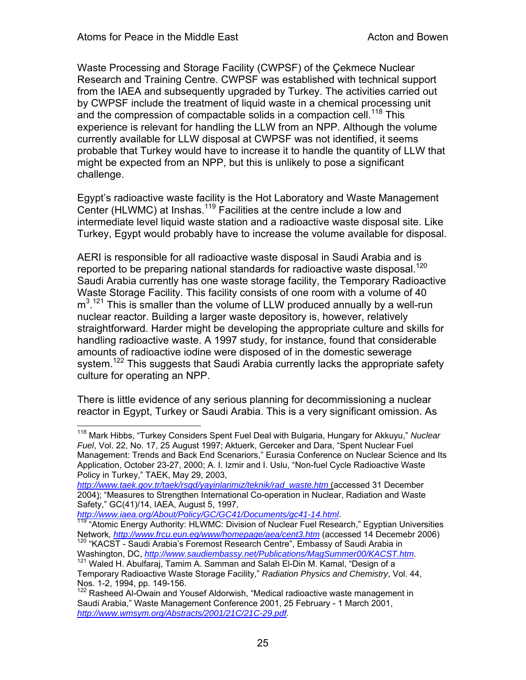Waste Processing and Storage Facility (CWPSF) of the Çekmece Nuclear Research and Training Centre. CWPSF was established with technical support from the IAEA and subsequently upgraded by Turkey. The activities carried out by CWPSF include the treatment of liquid waste in a chemical processing unit and the compression of compactable solids in a compaction cell.<sup>118</sup> This experience is relevant for handling the LLW from an NPP. Although the volume currently available for LLW disposal at CWPSF was not identified, it seems probable that Turkey would have to increase it to handle the quantity of LLW that might be expected from an NPP, but this is unlikely to pose a significant challenge.

Egypt's radioactive waste facility is the Hot Laboratory and Waste Management Center (HLWMC) at Inshas.<sup>119</sup> Facilities at the centre include a low and intermediate level liquid waste station and a radioactive waste disposal site. Like Turkey, Egypt would probably have to increase the volume available for disposal.

AERI is responsible for all radioactive waste disposal in Saudi Arabia and is reported to be preparing national standards for radioactive waste disposal.<sup>120</sup> Saudi Arabia currently has one waste storage facility, the Temporary Radioactive Waste Storage Facility. This facility consists of one room with a volume of 40  $m<sup>3.121</sup>$  This is smaller than the volume of LLW produced annually by a well-run nuclear reactor. Building a larger waste depository is, however, relatively straightforward. Harder might be developing the appropriate culture and skills for handling radioactive waste. A 1997 study, for instance, found that considerable amounts of radioactive iodine were disposed of in the domestic sewerage system.<sup>122</sup> This suggests that Saudi Arabia currently lacks the appropriate safety culture for operating an NPP.

There is little evidence of any serious planning for decommissioning a nuclear reactor in Egypt, Turkey or Saudi Arabia. This is a very significant omission. As

*http://www.taek.gov.tr/taek/rsgd/yayinlarimiz/teknik/rad\_waste.htm* (accessed 31 December 2004); "Measures to Strengthen International Co-operation in Nuclear, Radiation and Waste Safety," GC(41)/14, IAEA, August 5, 1997,

 $\overline{a}$ 

<sup>118</sup> Mark Hibbs, "Turkey Considers Spent Fuel Deal with Bulgaria, Hungary for Akkuyu," *Nuclear Fuel*, Vol. 22, No. 17, 25 August 1997; Aktuerk, Gerceker and Dara, "Spent Nuclear Fuel Management: Trends and Back End Scenariors," Eurasia Conference on Nuclear Science and Its Application, October 23-27, 2000; A. I. Izmir and I. Uslu, "Non-fuel Cycle Radioactive Waste Policy in Turkey," TAEK, May 29, 2003,

*http://www.iaea.org/About/Policy/GC/GC41/Documents/gc41-14.html*<br><sup>119</sup> "Atomic Energy Authority: HLWMC: Division of Nuclear Fuel Research," Egyptian Universities<br>Network, *http://www.frcu.eun.eg/www/homepage/aea/cent3.htm* 

<sup>&</sup>lt;sup>120</sup> "KACST - Saudi Arabia's Foremost Research Centre", Embassy of Saudi Arabia in<br>Washington, DC, *http://www.saudiembassy.net/Publications/MagSummer00/KACST.htm.* <sup>121</sup> Waled H. Abulfaraj, Tamim A. Samman and Salah El-Din M. Kamal, "Design of a

Temporary Radioactive Waste Storage Facility," *Radiation Physics and Chemistry*, Vol. 44, Nos. 1-2, 1994, pp. 149-156.

<sup>&</sup>lt;sup>122</sup> Rasheed Al-Owain and Yousef Aldorwish, "Medical radioactive waste management in Saudi Arabia," Waste Management Conference 2001, 25 February - 1 March 2001, *http://www.wmsym.org/Abstracts/2001/21C/21C-29.pdf*.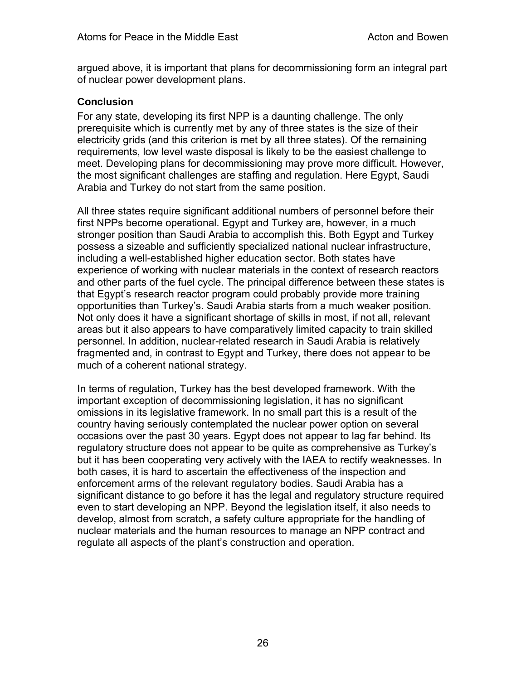argued above, it is important that plans for decommissioning form an integral part of nuclear power development plans.

#### **Conclusion**

For any state, developing its first NPP is a daunting challenge. The only prerequisite which is currently met by any of three states is the size of their electricity grids (and this criterion is met by all three states). Of the remaining requirements, low level waste disposal is likely to be the easiest challenge to meet. Developing plans for decommissioning may prove more difficult. However, the most significant challenges are staffing and regulation. Here Egypt, Saudi Arabia and Turkey do not start from the same position.

All three states require significant additional numbers of personnel before their first NPPs become operational. Egypt and Turkey are, however, in a much stronger position than Saudi Arabia to accomplish this. Both Egypt and Turkey possess a sizeable and sufficiently specialized national nuclear infrastructure, including a well-established higher education sector. Both states have experience of working with nuclear materials in the context of research reactors and other parts of the fuel cycle. The principal difference between these states is that Egypt's research reactor program could probably provide more training opportunities than Turkey's. Saudi Arabia starts from a much weaker position. Not only does it have a significant shortage of skills in most, if not all, relevant areas but it also appears to have comparatively limited capacity to train skilled personnel. In addition, nuclear-related research in Saudi Arabia is relatively fragmented and, in contrast to Egypt and Turkey, there does not appear to be much of a coherent national strategy.

In terms of regulation, Turkey has the best developed framework. With the important exception of decommissioning legislation, it has no significant omissions in its legislative framework. In no small part this is a result of the country having seriously contemplated the nuclear power option on several occasions over the past 30 years. Egypt does not appear to lag far behind. Its regulatory structure does not appear to be quite as comprehensive as Turkey's but it has been cooperating very actively with the IAEA to rectify weaknesses. In both cases, it is hard to ascertain the effectiveness of the inspection and enforcement arms of the relevant regulatory bodies. Saudi Arabia has a significant distance to go before it has the legal and regulatory structure required even to start developing an NPP. Beyond the legislation itself, it also needs to develop, almost from scratch, a safety culture appropriate for the handling of nuclear materials and the human resources to manage an NPP contract and regulate all aspects of the plant's construction and operation.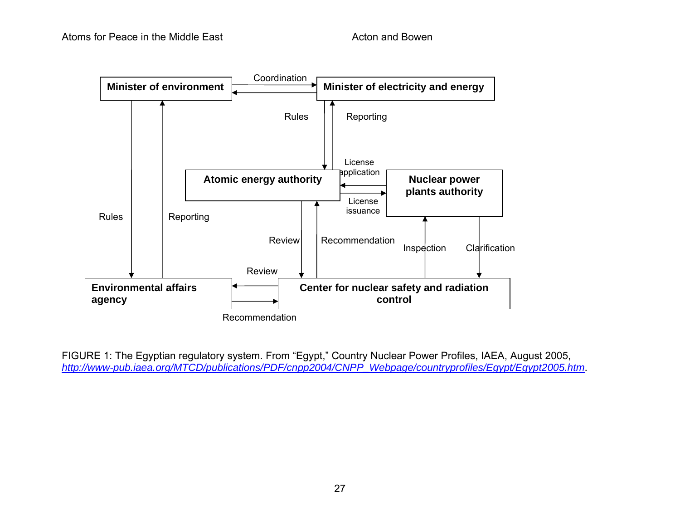

FIGURE 1: The Egyptian regulatory system. From "Egypt," Country Nuclear Power Profiles, IAEA, August 2005, *http://www-pub.iaea.org/MTCD/publications/PDF/cnpp2004/CNPP\_Webpage/countryprofiles/Egypt/Egypt2005.htm*.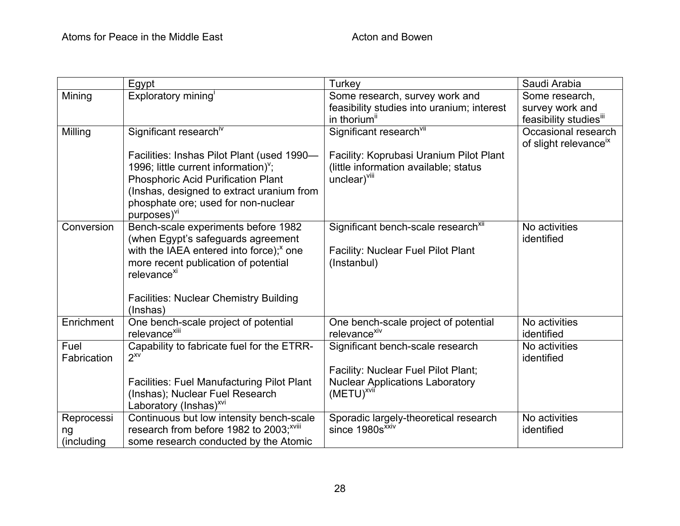|                                | Egypt                                                                                                                                                                                                                                                    | Turkey                                                                                                                                      | Saudi Arabia                                  |
|--------------------------------|----------------------------------------------------------------------------------------------------------------------------------------------------------------------------------------------------------------------------------------------------------|---------------------------------------------------------------------------------------------------------------------------------------------|-----------------------------------------------|
| Mining                         | Exploratory mining                                                                                                                                                                                                                                       | Some research, survey work and                                                                                                              | Some research,                                |
|                                |                                                                                                                                                                                                                                                          | feasibility studies into uranium; interest<br>in thorium <sup>ii</sup>                                                                      | survey work and                               |
| Milling                        | Significant research <sup>iv</sup>                                                                                                                                                                                                                       | Significant research <sup>vii</sup>                                                                                                         | feasibility studiesill<br>Occasional research |
|                                |                                                                                                                                                                                                                                                          |                                                                                                                                             | of slight relevance <sup>"</sup>              |
|                                | Facilities: Inshas Pilot Plant (used 1990-<br>1996; little current information) $\gamma$ ;<br><b>Phosphoric Acid Purification Plant</b><br>(Inshas, designed to extract uranium from<br>phosphate ore; used for non-nuclear<br>purposes) <sup>vi</sup>   | Facility: Koprubasi Uranium Pilot Plant<br>(little information available; status<br>unclear) <sup>viii</sup>                                |                                               |
| Conversion                     | Bench-scale experiments before 1982<br>(when Egypt's safeguards agreement<br>with the IAEA entered into force); $^x$ one<br>more recent publication of potential<br>relevance <sup>xi</sup><br><b>Facilities: Nuclear Chemistry Building</b><br>(Inshas) | Significant bench-scale research <sup>xii</sup><br><b>Facility: Nuclear Fuel Pilot Plant</b><br>(Instanbul)                                 | No activities<br>identified                   |
| Enrichment                     | One bench-scale project of potential<br>relevance <sup>xiii</sup>                                                                                                                                                                                        | One bench-scale project of potential<br>relevance <sup>xiv</sup>                                                                            | No activities<br>identified                   |
| Fuel<br>Fabrication            | Capability to fabricate fuel for the ETRR-<br>$2^{xy}$<br><b>Facilities: Fuel Manufacturing Pilot Plant</b><br>(Inshas); Nuclear Fuel Research<br>Laboratory (Inshas) <sup>xvi</sup>                                                                     | Significant bench-scale research<br>Facility: Nuclear Fuel Pilot Plant;<br><b>Nuclear Applications Laboratory</b><br>(METU) <sup>XVII</sup> | No activities<br>identified                   |
| Reprocessi<br>ng<br>(including | Continuous but low intensity bench-scale<br>research from before 1982 to 2003; <sup>xviii</sup><br>some research conducted by the Atomic                                                                                                                 | Sporadic largely-theoretical research<br>since 1980s <sup>xxiv</sup>                                                                        | No activities<br>identified                   |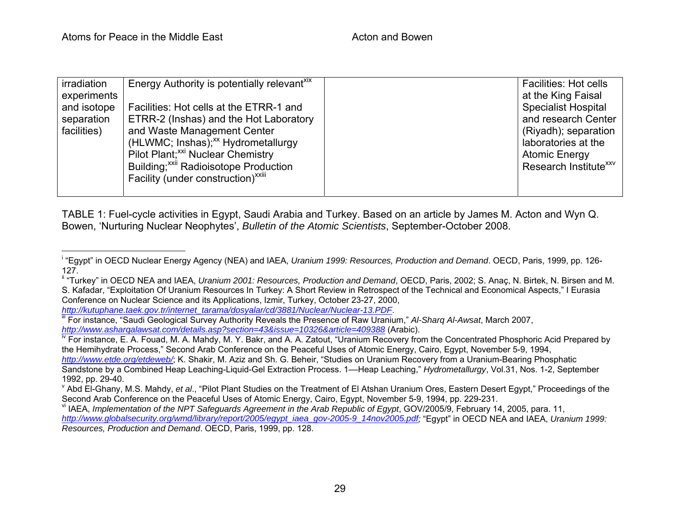| Energy Authority is potentially relevant <sup>xix</sup><br>irradiation<br>experiments<br>Facilities: Hot cells at the ETRR-1 and<br>and isotope<br>ETRR-2 (Inshas) and the Hot Laboratory<br>separation<br>and Waste Management Center<br>facilities)<br>(HLWMC; Inshas); <sup>xx</sup> Hydrometallurgy<br>Pilot Plant; <sup>xxi</sup> Nuclear Chemistry<br>Building; <sup>XXII</sup> Radioisotope Production<br>Facility (under construction) <sup>XXIII</sup> | <b>Facilities: Hot cells</b><br>at the King Faisal<br><b>Specialist Hospital</b><br>and research Center<br>(Riyadh); separation<br>laboratories at the<br><b>Atomic Energy</b><br>Research Institute <sup>xxv</sup> |
|-----------------------------------------------------------------------------------------------------------------------------------------------------------------------------------------------------------------------------------------------------------------------------------------------------------------------------------------------------------------------------------------------------------------------------------------------------------------|---------------------------------------------------------------------------------------------------------------------------------------------------------------------------------------------------------------------|
|-----------------------------------------------------------------------------------------------------------------------------------------------------------------------------------------------------------------------------------------------------------------------------------------------------------------------------------------------------------------------------------------------------------------------------------------------------------------|---------------------------------------------------------------------------------------------------------------------------------------------------------------------------------------------------------------------|

TABLE 1: Fuel-cycle activities in Egypt, Saudi Arabia and Turkey. Based on an article by James M. Acton and Wyn Q. Bowen, 'Nurturing Nuclear Neophytes', *Bulletin of the Atomic Scientists*, September-October 2008.

" For instance, E. A. Fouad, M. A. Mahdy, M. Y. Bakr, and A. A. Zatout, "Uranium Recovery from the Concentrated Phosphoric Acid Prepared by the Hemihydrate Process," Second Arab Conference on the Peaceful Uses of Atomic Energy, Cairo, Egypt, November 5-9, 1994, *http://www.etde.org/etdeweb/*; K. Shakir, M. Aziz and Sh. G. Beheir, "Studies on Uranium Recovery from a Uranium-Bearing Phosphatic Sandstone by a Combined Heap Leaching-Liquid-Gel Extraction Process. 1––Heap Leaching," *Hydrometallurgy*, Vol.31, Nos. 1-2, September 1992, pp. 29-40.

<sup>&</sup>lt;sup>i</sup> "Egypt" in OECD Nuclear Energy Agency (NEA) and IAEA, *Uranium 1999: Resources, Production and Demand*. OECD, Paris, 1999, pp. 126-127.

If "Turkey" in OECD NEA and IAEA, *Uranium 2001: Resources, Production and Demand*, OECD, Paris, 2002; S. Anaç, N. Birtek, N. Birsen and M. S. Kafadar, "Exploitation Of Uranium Resources In Turkey: A Short Review in Retrospect of the Technical and Economical Aspects," I Eurasia Conference on Nuclear Science and its Applications, Izmir, Turkey, October 23-27, 2000,

*http://kutuphane.taek.gov.tr/internet\_tarama/dosyalar/cd/3881/Nuclear/Nuclear-13.PDF*.<br><sup>iii</sup> For instance, "Saudi Geological Survey Authority Reveals the Presence of Raw Uranium," *Al-Sharq Al-Awsat*, March 2007,<br>http://w

<sup>&</sup>lt;sup>v</sup> Abd El-Ghany, M.S. Mahdy, *et al.*, "Pilot Plant Studies on the Treatment of El Atshan Uranium Ores, Eastern Desert Egypt," Proceedings of the Second Arab Conference on the Peaceful Uses of Atomic Energy, Cairo, Egypt,

<sup>&</sup>lt;sup>V</sup> IAEA, *Implementation of the NPT Safequards Agreement in the Arab Republic of Egypt, GOV/2005/9, February 14, 2005, para. 11, http://www.globalsecurity.org/wmd/library/report/2005/egypt\_iaea\_gov-2005-9\_14nov2005.pdf;* "Egypt" in OECD NEA and IAEA, *Uranium 1999: Resources, Production and Demand*. OECD, Paris, 1999, pp. 128.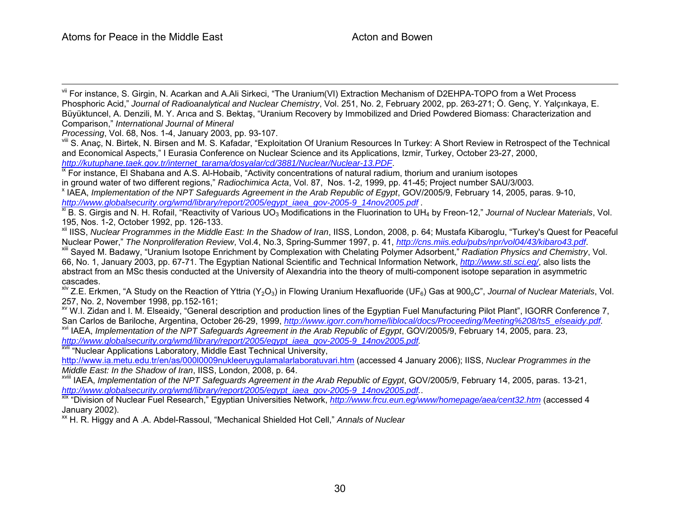vii For instance. S. Girgin, N. Acarkan and A.Ali Sirkeci, "The Uranium(VI) Extraction Mechanism of D2EHPA-TOPO from a Wet Process Phosphoric Acid," *Journal of Radioanalytical and Nuclear Chemistry*, Vol. 251, No. 2, February 2002, pp. 263-271; Ö. Genç, Y. Yalçınkaya, E. Büyüktuncel, A. Denzili, M. Y. Arıca and S. Bektaş, "Uranium Recovery by Immobilized and Dried Powdered Biomass: Characterization and Comparison," *International Journal of Mineral*

*Processing*, Vol. 68, Nos. 1-4, January 2003, pp. 93-107.<br><sup>viii</sup> S. Anac, N. Birtek, N. Birsen and M. S. Kafadar, "Exploitation Of Uranium Resources In Turkey: A Short Review in Retrospect of the Technical and Economical Aspects," I Eurasia Conference on Nuclear Science and its Applications, Izmir, Turkey, October 23-27, 2000,<br>http://kutuphane.taek.gov.tr/internet\_tarama/dosyalar/cd/3881/Nuclear/Nuclear-13.PDF.

<sup>ix</sup> For instance. El Shabana and A.S. Al-Hobaib, "Activity concentrations of natural radium, thorium and uranium isotopes in ground water of two different regions," *Radiochimica Acta*, Vol. 87, Nos. 1-2, 1999, pp. 41-45; Project number SAU/3/003*.*

x IAEA, *Implementation of the NPT Safeguards Agreement in the Arab Republic of Egypt*, GOV/2005/9, February 14, 2005, paras. 9-10, http://www.globalsecurity.org/wmd/library/report/2005/egypt iaea\_gov-2005-9\_14nov2005.pdf .<br><sup>xi</sup> B. S. Girgis and N. H. Rofail, "Reactivity of Various UO<sub>3</sub> Modifications in the Fluorination to UH<sub>4</sub> by Freon-12," Journal

195, Nos. 1-2, October 1992, pp. 126-133.<br><sup>xii</sup> IISS, *Nuclear Programmes in the Middle East: In the Shadow of Iran*, IISS, London, 2008, p. 64; Mustafa Kibaroglu, "Turkey's Quest for Peaceful<br>Nuclear Power," *The Nonproli* 

<sup>xiii</sup> Sayed M. Badawy, "Uranium Isotope Enrichment by Complexation with Chelating Polymer Adsorbent," Radiation Physics and Chemistry, Vol. 66, No. 1, January 2003, pp. 67-71. The Egyptian National Scientific and Technical Information Network, *http://www.sti.sci.eg/*, also lists the abstract from an MSc thesis conducted at the University of Alexandria into the theory of multi-component isotope separation in asymmetric cascades.

<sup>xiv</sup> Z.E. Erkmen, "A Study on the Reaction of Yttria (Y<sub>2</sub>O<sub>3</sub>) in Flowing Uranium Hexafluoride (UF<sub>6</sub>) Gas at 900<sub>0</sub>C", Journal of Nuclear Materials, Vol. 257, No. 2, November 1998, pp.152-161;

<sup>xv</sup> W.I. Zidan and I. M. Elseaidy, "General description and production lines of the Egyptian Fuel Manufacturing Pilot Plant", IGORR Conference 7,<br>San Carlos de Bariloche, Argentina, October 26-29, 1999, http://www.igorr.c

<sup>xvi</sup> IAEA, Implementation of the NPT Safeguards Agreement in the Arab Republic of Egypt, GOV/2005/9, February 14, 2005, para. 23,<br>http://www.globalsecurity.org/wmd/library/report/2005/egypt iaea\_gov-2005-9\_14nov2005.pdf.

*http://www.globalsecurity.org/wmd/library/report/2005/egypt\_iaea\_gov-2005-9\_14nov2005.pdf.* xvii "Nuclear Applications Laboratory, Middle East Technical University,

http://www.ia.metu.edu.tr/en/as/000l0009nukleeruygulamalarlaboratuvari.htm (accessed 4 January 2006); IISS, *Nuclear Programmes in the* 

<sup>xviii</sup> IAEA, Implementation of the NPT Safeguards Agreement in the Arab Republic of Egypt, GOV/2005/9, February 14, 2005, paras. 13-21,<br>http://www.globalsecurity.org/wmd/library/report/2005/egypt iaea\_gov-2005-9\_14nov2005

 $\frac{1}{X}$  "Division of Nuclear Fuel Research." Egyptian Universities Network, http://www.frcu.eun.eg/www/homepage/aea/cent32.htm (accessed 4 January 2002).

xx H. R. Higgy and A .A. Abdel-Rassoul, "Mechanical Shielded Hot Cell," *Annals of Nuclear*